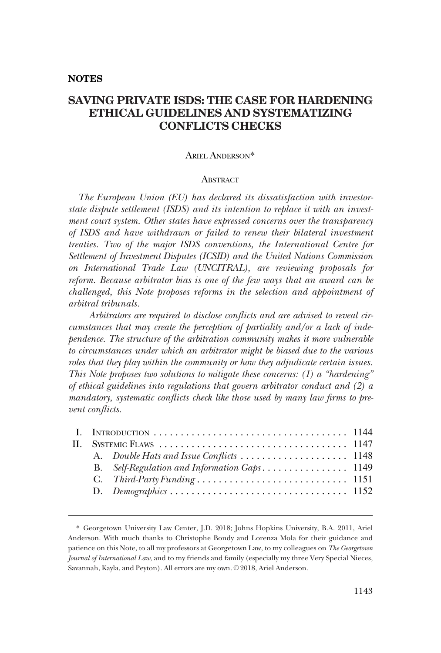#### **NOTES**

# **SAVING PRIVATE ISDS: THE CASE FOR HARDENING ETHICAL GUIDELINES AND SYSTEMATIZING CONFLICTS CHECKS**

### ARIEL ANDERSON\*

#### **ABSTRACT**

*The European Union (EU) has declared its dissatisfaction with investorstate dispute settlement (ISDS) and its intention to replace it with an investment court system. Other states have expressed concerns over the transparency of ISDS and have withdrawn or failed to renew their bilateral investment treaties. Two of the major ISDS conventions, the International Centre for Settlement of Investment Disputes (ICSID) and the United Nations Commission on International Trade Law (UNCITRAL), are reviewing proposals for reform. Because arbitrator bias is one of the few ways that an award can be challenged, this Note proposes reforms in the selection and appointment of arbitral tribunals.* 

*Arbitrators are required to disclose conflicts and are advised to reveal circumstances that may create the perception of partiality and/or a lack of independence. The structure of the arbitration community makes it more vulnerable to circumstances under which an arbitrator might be biased due to the various roles that they play within the community or how they adjudicate certain issues. This Note proposes two solutions to mitigate these concerns: (1) a "hardening" of ethical guidelines into regulations that govern arbitrator conduct and (2) a mandatory, systematic conflicts check like those used by many law firms to prevent conflicts.* 

<sup>\*</sup> Georgetown University Law Center, J.D. 2018; Johns Hopkins University, B.A. 2011, Ariel Anderson. With much thanks to Christophe Bondy and Lorenza Mola for their guidance and patience on this Note, to all my professors at Georgetown Law, to my colleagues on *The Georgetown Journal of International Law*, and to my friends and family (especially my three Very Special Nieces, Savannah, Kayla, and Peyton). All errors are my own. © 2018, Ariel Anderson.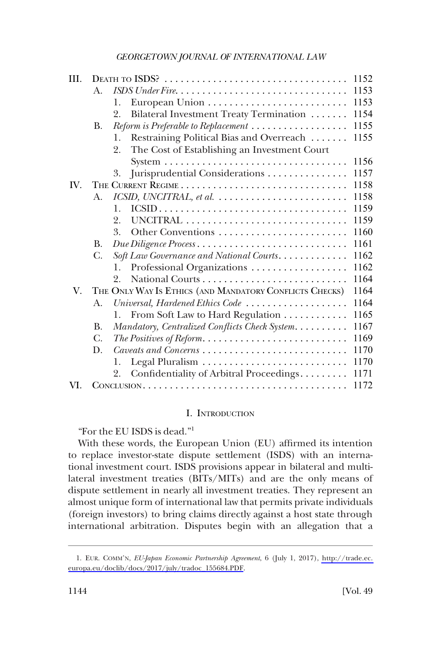<span id="page-1-0"></span>

| III. |             |                                                                                                      | 1152 |
|------|-------------|------------------------------------------------------------------------------------------------------|------|
|      | $A_{\cdot}$ |                                                                                                      | 1153 |
|      |             | 1.                                                                                                   | 1153 |
|      |             | Bilateral Investment Treaty Termination<br>2.                                                        | 1154 |
|      | В.          |                                                                                                      | 1155 |
|      |             | Restraining Political Bias and Overreach<br>1.                                                       | 1155 |
|      |             | The Cost of Establishing an Investment Court<br>2.                                                   |      |
|      |             |                                                                                                      | 1156 |
|      |             | Jurisprudential Considerations<br>3.                                                                 | 1157 |
| IV.  |             |                                                                                                      | 1158 |
|      | $A_{\cdot}$ | $\textit{ICSID}, \textit{UNCITRAL}, \textit{et al.} \dots \dots \dots \dots \dots \dots \dots \dots$ | 1158 |
|      |             | 1.                                                                                                   | 1159 |
|      |             | 2.                                                                                                   | 1159 |
|      |             | Other Conventions<br>3.                                                                              | 1160 |
|      | <b>B.</b>   | Due Diligence Process                                                                                | 1161 |
|      | C.          | Soft Law Governance and National Courts                                                              | 1162 |
|      |             | Professional Organizations<br>1.                                                                     | 1162 |
|      |             | 2.                                                                                                   | 1164 |
| V.   |             | THE ONLY WAY IS ETHICS (AND MANDATORY CONFLICTS CHECKS)                                              | 1164 |
|      | A.          | Universal, Hardened Ethics Code                                                                      | 1164 |
|      |             | From Soft Law to Hard Regulation<br>1.                                                               | 1165 |
|      | <b>B.</b>   | Mandatory, Centralized Conflicts Check System.                                                       | 1167 |
|      | C.          |                                                                                                      | 1169 |
|      | D.          | Caveats and Concerns                                                                                 | 1170 |
|      |             | 1.                                                                                                   | 1170 |
|      |             | Confidentiality of Arbitral Proceedings<br>2.                                                        | 1171 |
| VI.  |             |                                                                                                      | 1172 |

## I. INTRODUCTION

"For the EU ISDS is dead."<sup>1</sup>

With these words, the European Union (EU) affirmed its intention to replace investor-state dispute settlement (ISDS) with an international investment court. ISDS provisions appear in bilateral and multilateral investment treaties (BITs/MITs) and are the only means of dispute settlement in nearly all investment treaties. They represent an almost unique form of international law that permits private individuals (foreign investors) to bring claims directly against a host state through international arbitration. Disputes begin with an allegation that a

EUR. COMM'N, *EU-Japan Economic Partnership Agreement*, 6 (July 1, 2017), [http://trade.ec.](http://trade.ec.europa.eu/doclib/docs/2017/july/tradoc_155684.PDF)  1. [europa.eu/doclib/docs/2017/july/tradoc\\_155684.PDF](http://trade.ec.europa.eu/doclib/docs/2017/july/tradoc_155684.PDF).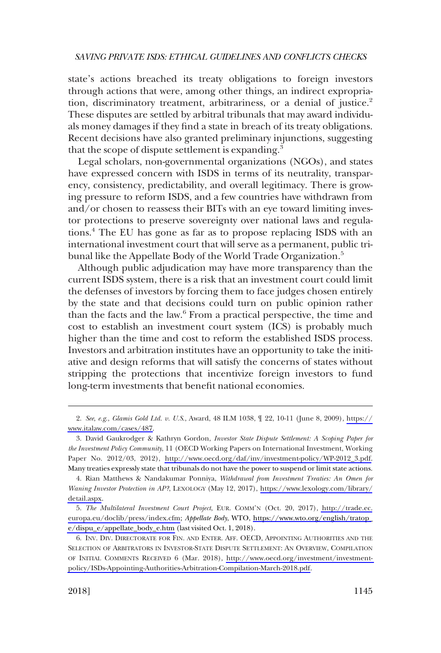state's actions breached its treaty obligations to foreign investors through actions that were, among other things, an indirect expropriation, discriminatory treatment, arbitrariness, or a denial of justice.<sup>2</sup> These disputes are settled by arbitral tribunals that may award individuals money damages if they find a state in breach of its treaty obligations. Recent decisions have also granted preliminary injunctions, suggesting that the scope of dispute settlement is expanding.<sup>3</sup>

Legal scholars, non-governmental organizations (NGOs), and states have expressed concern with ISDS in terms of its neutrality, transparency, consistency, predictability, and overall legitimacy. There is growing pressure to reform ISDS, and a few countries have withdrawn from and/or chosen to reassess their BITs with an eye toward limiting investor protections to preserve sovereignty over national laws and regulations.4 The EU has gone as far as to propose replacing ISDS with an international investment court that will serve as a permanent, public tribunal like the Appellate Body of the World Trade Organization.<sup>5</sup>

Although public adjudication may have more transparency than the current ISDS system, there is a risk that an investment court could limit the defenses of investors by forcing them to face judges chosen entirely by the state and that decisions could turn on public opinion rather than the facts and the law.6 From a practical perspective, the time and cost to establish an investment court system (ICS) is probably much higher than the time and cost to reform the established ISDS process. Investors and arbitration institutes have an opportunity to take the initiative and design reforms that will satisfy the concerns of states without stripping the protections that incentivize foreign investors to fund long-term investments that benefit national economies.

*See*, *e.g*., *Glamis Gold Ltd. v. U.S*., Award, 48 ILM 1038, ¶ 22, 10-11 (June 8, 2009), [https://](https://www.italaw.com/cases/487) 2. [www.italaw.com/cases/487](https://www.italaw.com/cases/487).

David Gaukrodger & Kathryn Gordon, *Investor State Dispute Settlement: A Scoping Paper for*  3. *the Investment Policy Community*, 11 (OECD Working Papers on International Investment, Working Paper No. 2012/03, 2012), [http://www.oecd.org/daf/inv/investment-policy/WP-2012\\_3.pdf.](http://www.oecd.org/daf/inv/investment-policy/WP-2012_3.pdf) Many treaties expressly state that tribunals do not have the power to suspend or limit state actions.

Rian Matthews & Nandakumar Ponniya, *Withdrawal from Investment Treaties: An Omen for*  4. *Waning Investor Protection in AP?*, LEXOLOGY (May 12, 2017), [https://www.lexology.com/library/](https://www.lexology.com/library/detail.aspx)  [detail.aspx](https://www.lexology.com/library/detail.aspx).

*The Multilateral Investment Court Project*, EUR. COMM'N (Oct. 20, 2017), [http://trade.ec.](http://trade.ec.europa.eu/doclib/press/index.cfm) 5. [europa.eu/doclib/press/index.cfm;](http://trade.ec.europa.eu/doclib/press/index.cfm) *Appellate Body*, WTO, [https://www.wto.org/english/tratop\\_](https://www.wto.org/english/tratop_e/dispu_e/appellate_body_e.htm) [e/dispu\\_e/appellate\\_body\\_e.htm](https://www.wto.org/english/tratop_e/dispu_e/appellate_body_e.htm) (last visited Oct. 1, 2018).

<sup>6.</sup> INV. DIV. DIRECTORATE FOR FIN. AND ENTER. AFF. OECD, APPOINTING AUTHORITIES AND THE SELECTION OF ARBITRATORS IN INVESTOR-STATE DISPUTE SETTLEMENT: AN OVERVIEW, COMPILATION OF INITIAL COMMENTS RECEIVED 6 (Mar. 2018), [http://www.oecd.org/investment/investment](http://www.oecd.org/investment/investment-policy/ISDs-Appointing-Authorities-Arbitration-Compilation-March-2018.pdf)[policy/ISDs-Appointing-Authorities-Arbitration-Compilation-March-2018.pdf](http://www.oecd.org/investment/investment-policy/ISDs-Appointing-Authorities-Arbitration-Compilation-March-2018.pdf).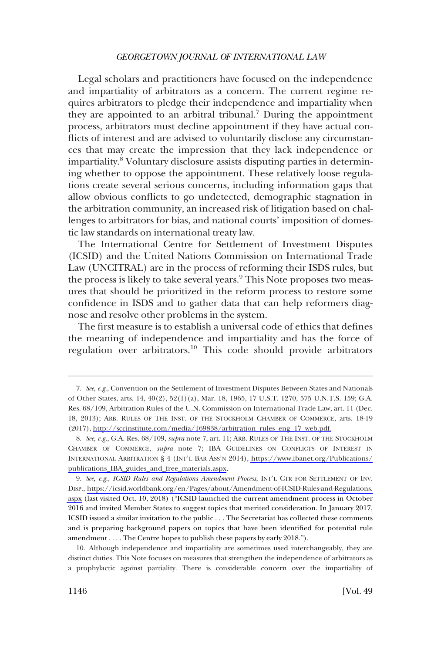Legal scholars and practitioners have focused on the independence and impartiality of arbitrators as a concern. The current regime requires arbitrators to pledge their independence and impartiality when they are appointed to an arbitral tribunal.<sup>7</sup> During the appointment process, arbitrators must decline appointment if they have actual conflicts of interest and are advised to voluntarily disclose any circumstances that may create the impression that they lack independence or impartiality.<sup>8</sup> Voluntary disclosure assists disputing parties in determining whether to oppose the appointment. These relatively loose regulations create several serious concerns, including information gaps that allow obvious conflicts to go undetected, demographic stagnation in the arbitration community, an increased risk of litigation based on challenges to arbitrators for bias, and national courts' imposition of domestic law standards on international treaty law.

The International Centre for Settlement of Investment Disputes (ICSID) and the United Nations Commission on International Trade Law (UNCITRAL) are in the process of reforming their ISDS rules, but the process is likely to take several years.<sup>9</sup> This Note proposes two measures that should be prioritized in the reform process to restore some confidence in ISDS and to gather data that can help reformers diagnose and resolve other problems in the system.

The first measure is to establish a universal code of ethics that defines the meaning of independence and impartiality and has the force of regulation over arbitrators.10 This code should provide arbitrators

*See, e.g*., Convention on the Settlement of Investment Disputes Between States and Nationals 7. of Other States, arts. 14, 40(2), 52(1)(a), Mar. 18, 1965, 17 U.S.T. 1270, 575 U.N.T.S. 159; G.A. Res. 68/109, Arbitration Rules of the U.N. Commission on International Trade Law, art. 11 (Dec. 18, 2013); ARB. RULES OF THE INST. OF THE STOCKHOLM CHAMBER OF COMMERCE, arts. 18-19 (2017), [http://sccinstitute.com/media/169838/arbitration\\_rules\\_eng\\_17\\_web.pdf.](http://sccinstitute.com/media/169838/arbitration_rules_eng_17_web.pdf)

<sup>8.</sup> See, e.g., G.A. Res. 68/109, *supra* note 7, art. 11; ARB. RULES OF THE INST. OF THE STOCKHOLM CHAMBER OF COMMERCE, *supra* note 7; IBA GUIDELINES ON CONFLICTS OF INTEREST IN INTERNATIONAL ARBITRATION § 4 (INT'L BAR ASS'N 2014), [https://www.ibanet.org/Publications/](https://www.ibanet.org/Publications/publications_IBA_guides_and_free_materials.aspx) [publications\\_IBA\\_guides\\_and\\_free\\_materials.aspx.](https://www.ibanet.org/Publications/publications_IBA_guides_and_free_materials.aspx)

*See, e.g*., *ICSID Rules and Regulations Amendment Process*, INT'L CTR FOR SETTLEMENT OF INV. 9. DISP., [https://icsid.worldbank.org/en/Pages/about/Amendment-of-ICSID-Rules-and-Regulations.](https://icsid.worldbank.org/en/Pages/about/Amendment-of-ICSID-Rules-and-Regulations.aspx)  [aspx](https://icsid.worldbank.org/en/Pages/about/Amendment-of-ICSID-Rules-and-Regulations.aspx) (last visited Oct. 10, 2018) ("ICSID launched the current amendment process in October 2016 and invited Member States to suggest topics that merited consideration. In January 2017, ICSID issued a similar invitation to the public . . . The Secretariat has collected these comments and is preparing background papers on topics that have been identified for potential rule amendment . . . . The Centre hopes to publish these papers by early 2018.").

<sup>10.</sup> Although independence and impartiality are sometimes used interchangeably, they are distinct duties. This Note focuses on measures that strengthen the independence of arbitrators as a prophylactic against partiality. There is considerable concern over the impartiality of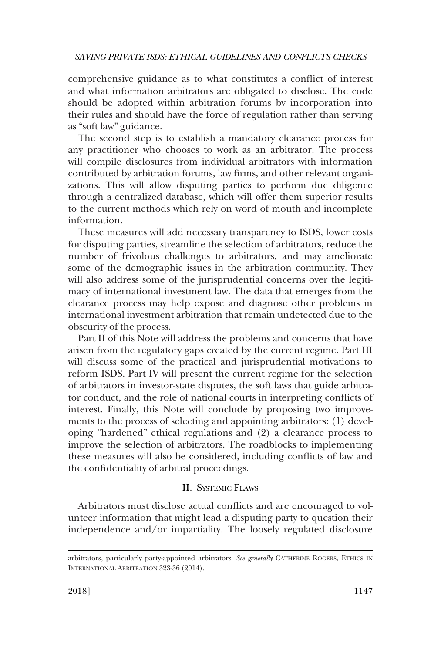<span id="page-4-0"></span>comprehensive guidance as to what constitutes a conflict of interest and what information arbitrators are obligated to disclose. The code should be adopted within arbitration forums by incorporation into their rules and should have the force of regulation rather than serving as "soft law" guidance.

The second step is to establish a mandatory clearance process for any practitioner who chooses to work as an arbitrator. The process will compile disclosures from individual arbitrators with information contributed by arbitration forums, law firms, and other relevant organizations. This will allow disputing parties to perform due diligence through a centralized database, which will offer them superior results to the current methods which rely on word of mouth and incomplete information.

These measures will add necessary transparency to ISDS, lower costs for disputing parties, streamline the selection of arbitrators, reduce the number of frivolous challenges to arbitrators, and may ameliorate some of the demographic issues in the arbitration community. They will also address some of the jurisprudential concerns over the legitimacy of international investment law. The data that emerges from the clearance process may help expose and diagnose other problems in international investment arbitration that remain undetected due to the obscurity of the process.

Part II of this Note will address the problems and concerns that have arisen from the regulatory gaps created by the current regime. Part III will discuss some of the practical and jurisprudential motivations to reform ISDS. Part IV will present the current regime for the selection of arbitrators in investor-state disputes, the soft laws that guide arbitrator conduct, and the role of national courts in interpreting conflicts of interest. Finally, this Note will conclude by proposing two improvements to the process of selecting and appointing arbitrators: (1) developing "hardened" ethical regulations and (2) a clearance process to improve the selection of arbitrators. The roadblocks to implementing these measures will also be considered, including conflicts of law and the confidentiality of arbitral proceedings.

## II. SYSTEMIC FLAWS

Arbitrators must disclose actual conflicts and are encouraged to volunteer information that might lead a disputing party to question their independence and/or impartiality. The loosely regulated disclosure

arbitrators, particularly party-appointed arbitrators. *See generally* CATHERINE ROGERS, ETHICS IN INTERNATIONAL ARBITRATION 323-36 (2014).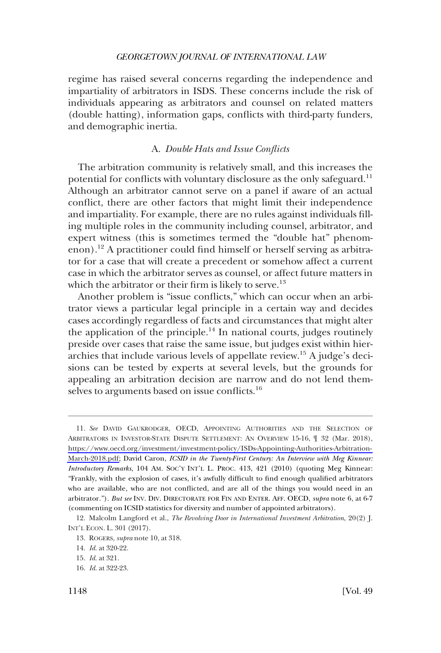<span id="page-5-0"></span>regime has raised several concerns regarding the independence and impartiality of arbitrators in ISDS. These concerns include the risk of individuals appearing as arbitrators and counsel on related matters (double hatting), information gaps, conflicts with third-party funders, and demographic inertia.

### A. *Double Hats and Issue Conflicts*

The arbitration community is relatively small, and this increases the potential for conflicts with voluntary disclosure as the only safeguard.<sup>11</sup> Although an arbitrator cannot serve on a panel if aware of an actual conflict, there are other factors that might limit their independence and impartiality. For example, there are no rules against individuals filling multiple roles in the community including counsel, arbitrator, and expert witness (this is sometimes termed the "double hat" phenomenon).12 A practitioner could find himself or herself serving as arbitrator for a case that will create a precedent or somehow affect a current case in which the arbitrator serves as counsel, or affect future matters in which the arbitrator or their firm is likely to serve.<sup>13</sup>

Another problem is "issue conflicts," which can occur when an arbitrator views a particular legal principle in a certain way and decides cases accordingly regardless of facts and circumstances that might alter the application of the principle.<sup>14</sup> In national courts, judges routinely preside over cases that raise the same issue, but judges exist within hierarchies that include various levels of appellate review.15 A judge's decisions can be tested by experts at several levels, but the grounds for appealing an arbitration decision are narrow and do not lend themselves to arguments based on issue conflicts.<sup>16</sup>

<sup>11.</sup> See DAVID GAUKRODGER, OECD, APPOINTING AUTHORITIES AND THE SELECTION OF ARBITRATORS IN INVESTOR-STATE DISPUTE SETTLEMENT: AN OVERVIEW 15-16, ¶ 32 (Mar. 2018), [https://www.oecd.org/investment/investment-policy/ISDs-Appointing-Authorities-Arbitration-](https://www.oecd.org/investment/investment-policy/ISDs-Appointing-Authorities-Arbitration-March-2018.pdf)[March-2018.pdf](https://www.oecd.org/investment/investment-policy/ISDs-Appointing-Authorities-Arbitration-March-2018.pdf); David Caron, *ICSID in the Twenty-First Century: An Interview with Meg Kinnear: Introductory Remarks*, 104 AM. SOC'Y INT'L L. PROC. 413, 421 (2010) (quoting Meg Kinnear: "Frankly, with the explosion of cases, it's awfully difficult to find enough qualified arbitrators who are available, who are not conflicted, and are all of the things you would need in an arbitrator."). *But see* INV. DIV. DIRECTORATE FOR FIN AND ENTER. AFF. OECD, *supra* note 6, at 6-7 (commenting on ICSID statistics for diversity and number of appointed arbitrators).

<sup>12.</sup> Malcolm Langford et al., *The Revolving Door in International Investment Arbitration*, 20(2) J. INT'L ECON. L. 301 (2017).

<sup>13.</sup> ROGERS, *supra* note 10, at 318.

<sup>14.</sup> *Id*. at 320-22.

<sup>15.</sup> *Id*. at 321.

<sup>16.</sup> *Id*. at 322-23.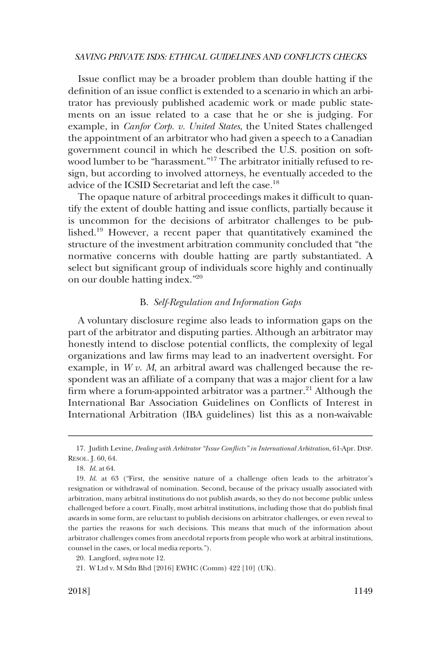<span id="page-6-0"></span>Issue conflict may be a broader problem than double hatting if the definition of an issue conflict is extended to a scenario in which an arbitrator has previously published academic work or made public statements on an issue related to a case that he or she is judging. For example, in *Canfor Corp. v. United States*, the United States challenged the appointment of an arbitrator who had given a speech to a Canadian government council in which he described the U.S. position on softwood lumber to be "harassment."<sup>17</sup> The arbitrator initially refused to resign, but according to involved attorneys, he eventually acceded to the advice of the ICSID Secretariat and left the case.<sup>18</sup>

The opaque nature of arbitral proceedings makes it difficult to quantify the extent of double hatting and issue conflicts, partially because it is uncommon for the decisions of arbitrator challenges to be published.19 However, a recent paper that quantitatively examined the structure of the investment arbitration community concluded that "the normative concerns with double hatting are partly substantiated. A select but significant group of individuals score highly and continually on our double hatting index."20

### B. *Self-Regulation and Information Gaps*

A voluntary disclosure regime also leads to information gaps on the part of the arbitrator and disputing parties. Although an arbitrator may honestly intend to disclose potential conflicts, the complexity of legal organizations and law firms may lead to an inadvertent oversight. For example, in *W v. M*, an arbitral award was challenged because the respondent was an affiliate of a company that was a major client for a law firm where a forum-appointed arbitrator was a partner.<sup>21</sup> Although the International Bar Association Guidelines on Conflicts of Interest in International Arbitration (IBA guidelines) list this as a non-waivable

<sup>17.</sup> Judith Levine, *Dealing with Arbitrator "Issue Conflicts" in International Arbitration*, 61-Apr. DISP. RESOL. J. 60, 64.

<sup>18.</sup> *Id*. at 64.

<sup>19.</sup> *Id*. at 63 ("First, the sensitive nature of a challenge often leads to the arbitrator's resignation or withdrawal of nomination. Second, because of the privacy usually associated with arbitration, many arbitral institutions do not publish awards, so they do not become public unless challenged before a court. Finally, most arbitral institutions, including those that do publish final awards in some form, are reluctant to publish decisions on arbitrator challenges, or even reveal to the parties the reasons for such decisions. This means that much of the information about arbitrator challenges comes from anecdotal reports from people who work at arbitral institutions, counsel in the cases, or local media reports.").

<sup>20.</sup> Langford, *supra* note 12.

<sup>21.</sup> W Ltd v. M Sdn Bhd [2016] EWHC (Comm) 422 [10] (UK).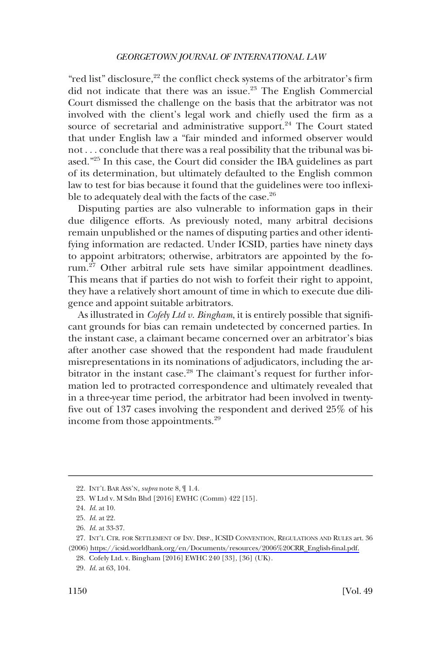"red list" disclosure,<sup>22</sup> the conflict check systems of the arbitrator's firm did not indicate that there was an issue.<sup>23</sup> The English Commercial Court dismissed the challenge on the basis that the arbitrator was not involved with the client's legal work and chiefly used the firm as a source of secretarial and administrative support.<sup>24</sup> The Court stated that under English law a "fair minded and informed observer would not . . . conclude that there was a real possibility that the tribunal was biased."25 In this case, the Court did consider the IBA guidelines as part of its determination, but ultimately defaulted to the English common law to test for bias because it found that the guidelines were too inflexible to adequately deal with the facts of the case.<sup>26</sup>

Disputing parties are also vulnerable to information gaps in their due diligence efforts. As previously noted, many arbitral decisions remain unpublished or the names of disputing parties and other identifying information are redacted. Under ICSID, parties have ninety days to appoint arbitrators; otherwise, arbitrators are appointed by the forum.<sup>27</sup> Other arbitral rule sets have similar appointment deadlines. This means that if parties do not wish to forfeit their right to appoint, they have a relatively short amount of time in which to execute due diligence and appoint suitable arbitrators.

As illustrated in *Cofely Ltd v. Bingham*, it is entirely possible that significant grounds for bias can remain undetected by concerned parties. In the instant case, a claimant became concerned over an arbitrator's bias after another case showed that the respondent had made fraudulent misrepresentations in its nominations of adjudicators, including the arbitrator in the instant case.<sup>28</sup> The claimant's request for further information led to protracted correspondence and ultimately revealed that in a three-year time period, the arbitrator had been involved in twentyfive out of 137 cases involving the respondent and derived 25% of his income from those appointments.<sup>29</sup>

<sup>22.</sup> INT'L BAR ASS'N, *supra* note 8, ¶ 1.4.

<sup>23.</sup> W Ltd v. M Sdn Bhd [2016] EWHC (Comm) 422 [15].

<sup>24.</sup> *Id*. at 10.

<sup>25.</sup> *Id*. at 22.

<sup>26.</sup> *Id*. at 33-37.

<sup>27.</sup> INT'L CTR. FOR SETTLEMENT OF INV. DISP., ICSID CONVENTION, REGULATIONS AND RULES art. 36 (2006) [https://icsid.worldbank.org/en/Documents/resources/2006%20CRR\\_English-final.pdf.](https://icsid.worldbank.org/en/Documents/resources/2006%20CRR_English-final.pdf)

<sup>28.</sup> Cofely Ltd. v. Bingham [2016] EWHC 240 [33], [36] (UK).

<sup>29.</sup> *Id*. at 63, 104.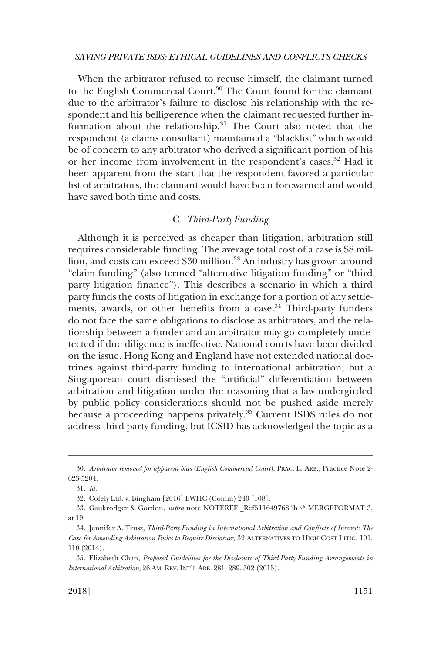<span id="page-8-0"></span>When the arbitrator refused to recuse himself, the claimant turned to the English Commercial Court.<sup>30</sup> The Court found for the claimant due to the arbitrator's failure to disclose his relationship with the respondent and his belligerence when the claimant requested further information about the relationship.31 The Court also noted that the respondent (a claims consultant) maintained a "blacklist" which would be of concern to any arbitrator who derived a significant portion of his or her income from involvement in the respondent's cases.<sup>32</sup> Had it been apparent from the start that the respondent favored a particular list of arbitrators, the claimant would have been forewarned and would have saved both time and costs.

### C. *Third-Party Funding*

Although it is perceived as cheaper than litigation, arbitration still requires considerable funding. The average total cost of a case is \$8 million, and costs can exceed \$30 million.<sup>33</sup> An industry has grown around "claim funding" (also termed "alternative litigation funding" or "third party litigation finance"). This describes a scenario in which a third party funds the costs of litigation in exchange for a portion of any settlements, awards, or other benefits from a case.<sup>34</sup> Third-party funders do not face the same obligations to disclose as arbitrators, and the relationship between a funder and an arbitrator may go completely undetected if due diligence is ineffective. National courts have been divided on the issue. Hong Kong and England have not extended national doctrines against third-party funding to international arbitration, but a Singaporean court dismissed the "artificial" differentiation between arbitration and litigation under the reasoning that a law undergirded by public policy considerations should not be pushed aside merely because a proceeding happens privately.<sup>35</sup> Current ISDS rules do not address third-party funding, but ICSID has acknowledged the topic as a

<sup>30.</sup> *Arbitrator removed for apparent bias (English Commercial Court)*, PRAC. L. ARB., Practice Note 2- 623-5204.

<sup>31.</sup> *Id*.

<sup>32.</sup> Cofely Ltd. v. Bingham [2016] EWHC (Comm) 240 [108].

<sup>33.</sup> Gaukrodger & Gordon, *supra* note NOTEREF \_Ref511649768 \h \\* MERGEFORMAT 3, at 19.

<sup>34.</sup> Jennifer A. Trusz, *Third-Party Funding in International Arbitration and Conflicts of Interest: The Case for Amending Arbitration Rules to Require Disclosure*, 32 ALTERNATIVES TO HIGH COST LITIG. 101, 110 (2014).

<sup>35.</sup> Elizabeth Chan, *Proposed Guidelines for the Disclosure of Third-Party Funding Arrangements in International Arbitration*, 26 AM. REV. INT'L ARB. 281, 289, 302 (2015).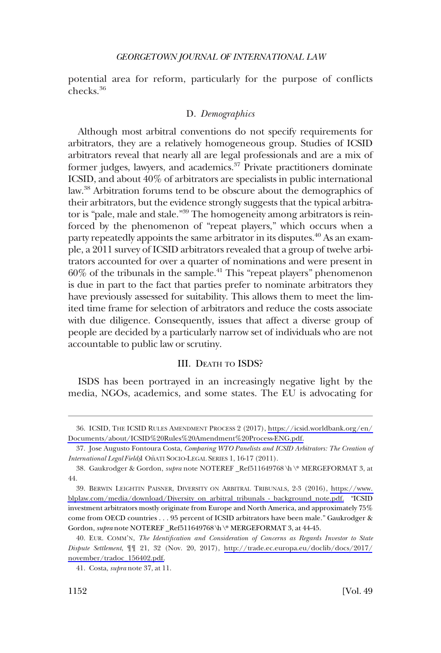<span id="page-9-0"></span>potential area for reform, particularly for the purpose of conflicts checks.36

## D. *Demographics*

Although most arbitral conventions do not specify requirements for arbitrators, they are a relatively homogeneous group. Studies of ICSID arbitrators reveal that nearly all are legal professionals and are a mix of former judges, lawyers, and academics. $37$  Private practitioners dominate ICSID, and about 40% of arbitrators are specialists in public international law.38 Arbitration forums tend to be obscure about the demographics of their arbitrators, but the evidence strongly suggests that the typical arbitrator is "pale, male and stale."<sup>39</sup> The homogeneity among arbitrators is reinforced by the phenomenon of "repeat players," which occurs when a party repeatedly appoints the same arbitrator in its disputes.<sup>40</sup> As an example, a 2011 survey of ICSID arbitrators revealed that a group of twelve arbitrators accounted for over a quarter of nominations and were present in  $60\%$  of the tribunals in the sample.<sup>41</sup> This "repeat players" phenomenon is due in part to the fact that parties prefer to nominate arbitrators they have previously assessed for suitability. This allows them to meet the limited time frame for selection of arbitrators and reduce the costs associate with due diligence. Consequently, issues that affect a diverse group of people are decided by a particularly narrow set of individuals who are not accountable to public law or scrutiny.

## III. DEATH TO ISDS?

ISDS has been portrayed in an increasingly negative light by the media, NGOs, academics, and some states. The EU is advocating for

ICSID, THE ICSID RULES AMENDMENT PROCESS 2 (2017), [https://icsid.worldbank.org/en/](https://icsid.worldbank.org/en/Documents/about/ICSID%20Rules%20Amendment%20Process-ENG.pdf)  36. [Documents/about/ICSID%20Rules%20Amendment%20Process-ENG.pdf.](https://icsid.worldbank.org/en/Documents/about/ICSID%20Rules%20Amendment%20Process-ENG.pdf)

<sup>37.</sup> Jose Augusto Fontoura Costa, *Comparing WTO Panelists and ICSID Arbitrators: The Creation of International Legal Fields*¸1 On~ATI SOCIO-LEGAL SERIES 1, 16-17 (2011).

<sup>38.</sup> Gaukrodger & Gordon, *supra* note NOTEREF \_Ref511649768 \h \\* MERGEFORMAT 3, at 44.

BERWIN LEIGHTIN PAISNER, DIVERSITY ON ARBITRAL TRIBUNALS, 2-3 (2016), [https://www.](https://www.blplaw.com/media/download/Diversity_on_arbitral_tribunals_-_background_note.pdf)  39. [blplaw.com/media/download/Diversity\\_on\\_arbitral\\_tribunals\\_-\\_background\\_note.pdf.](https://www.blplaw.com/media/download/Diversity_on_arbitral_tribunals_-_background_note.pdf) "ICSID investment arbitrators mostly originate from Europe and North America, and approximately 75% come from OECD countries . . . 95 percent of ICSID arbitrators have been male." Gaukrodger & Gordon, *supra* note NOTEREF \_Ref511649768 \h \\* MERGEFORMAT 3, at 44-45.

EUR. COMM'N, *The Identification and Consideration of Concerns as Regards Investor to State*  40. *Dispute Settlement*, ¶¶ 21, 32 (Nov. 20, 2017), [http://trade.ec.europa.eu/doclib/docs/2017/](http://trade.ec.europa.eu/doclib/docs/2017/november/tradoc_156402.pdf)  [november/tradoc\\_156402.pdf.](http://trade.ec.europa.eu/doclib/docs/2017/november/tradoc_156402.pdf)

<sup>41.</sup> Costa, *supra* note 37, at 11.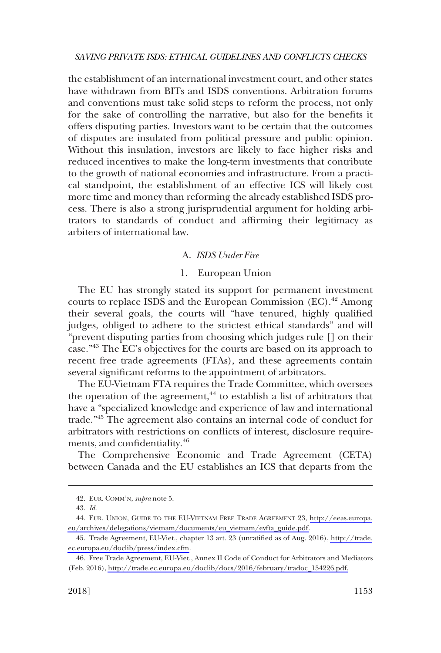<span id="page-10-0"></span>the establishment of an international investment court, and other states have withdrawn from BITs and ISDS conventions. Arbitration forums and conventions must take solid steps to reform the process, not only for the sake of controlling the narrative, but also for the benefits it offers disputing parties. Investors want to be certain that the outcomes of disputes are insulated from political pressure and public opinion. Without this insulation, investors are likely to face higher risks and reduced incentives to make the long-term investments that contribute to the growth of national economies and infrastructure. From a practical standpoint, the establishment of an effective ICS will likely cost more time and money than reforming the already established ISDS process. There is also a strong jurisprudential argument for holding arbitrators to standards of conduct and affirming their legitimacy as arbiters of international law.

## A. *ISDS Under Fire*

### 1. European Union

The EU has strongly stated its support for permanent investment courts to replace ISDS and the European Commission (EC).<sup>42</sup> Among their several goals, the courts will "have tenured, highly qualified judges, obliged to adhere to the strictest ethical standards" and will "prevent disputing parties from choosing which judges rule [] on their case."43 The EC's objectives for the courts are based on its approach to recent free trade agreements (FTAs), and these agreements contain several significant reforms to the appointment of arbitrators.

The EU-Vietnam FTA requires the Trade Committee, which oversees the operation of the agreement, $44$  to establish a list of arbitrators that have a "specialized knowledge and experience of law and international trade."45 The agreement also contains an internal code of conduct for arbitrators with restrictions on conflicts of interest, disclosure requirements, and confidentiality.<sup>46</sup>

The Comprehensive Economic and Trade Agreement (CETA) between Canada and the EU establishes an ICS that departs from the

<sup>42.</sup> EUR. COMM'N, *supra* note 5.

<sup>43.</sup> *Id*.

EUR. UNION, GUIDE TO THE EU-VIETNAM FREE TRADE AGREEMENT 23, [http://eeas.europa.](http://eeas.europa.eu/archives/delegations/vietnam/documents/eu_vietnam/evfta_guide.pdf) 44. [eu/archives/delegations/vietnam/documents/eu\\_vietnam/evfta\\_guide.pdf.](http://eeas.europa.eu/archives/delegations/vietnam/documents/eu_vietnam/evfta_guide.pdf)

Trade Agreement, EU-Viet., chapter 13 art. 23 (unratified as of Aug. 2016), [http://trade.](http://trade.ec.europa.eu/doclib/press/index.cfm) 45. [ec.europa.eu/doclib/press/index.cfm.](http://trade.ec.europa.eu/doclib/press/index.cfm)

Free Trade Agreement, EU-Viet., Annex II Code of Conduct for Arbitrators and Mediators 46. (Feb. 2016), [http://trade.ec.europa.eu/doclib/docs/2016/february/tradoc\\_154226.pdf.](http://trade.ec.europa.eu/doclib/docs/2016/february/tradoc_154226.pdf)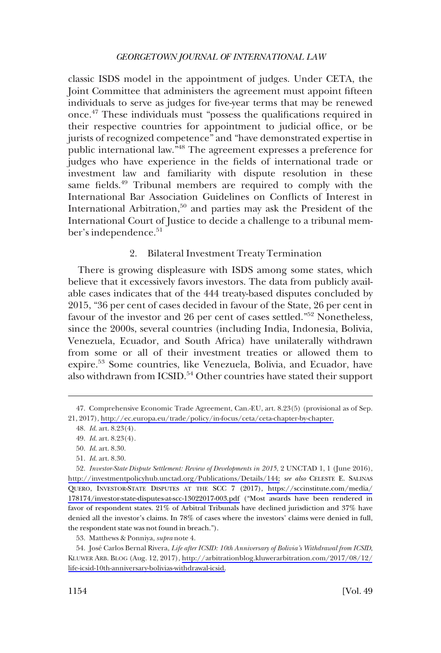<span id="page-11-0"></span>classic ISDS model in the appointment of judges. Under CETA, the Joint Committee that administers the agreement must appoint fifteen individuals to serve as judges for five-year terms that may be renewed once.47 These individuals must "possess the qualifications required in their respective countries for appointment to judicial office, or be jurists of recognized competence" and "have demonstrated expertise in public international law."48 The agreement expresses a preference for judges who have experience in the fields of international trade or investment law and familiarity with dispute resolution in these same fields.<sup>49</sup> Tribunal members are required to comply with the International Bar Association Guidelines on Conflicts of Interest in International Arbitration,<sup>50</sup> and parties may ask the President of the International Court of Justice to decide a challenge to a tribunal member's independence.<sup>51</sup>

## 2. Bilateral Investment Treaty Termination

There is growing displeasure with ISDS among some states, which believe that it excessively favors investors. The data from publicly available cases indicates that of the 444 treaty-based disputes concluded by 2015, "36 per cent of cases decided in favour of the State, 26 per cent in favour of the investor and 26 per cent of cases settled."<sup>52</sup> Nonetheless, since the 2000s, several countries (including India, Indonesia, Bolivia, Venezuela, Ecuador, and South Africa) have unilaterally withdrawn from some or all of their investment treaties or allowed them to expire.53 Some countries, like Venezuela, Bolivia, and Ecuador, have also withdrawn from ICSID.<sup>54</sup> Other countries have stated their support

<sup>47.</sup> Comprehensive Economic Trade Agreement, Can.-EU, art. 8.23(5) (provisional as of Sep. 21, 2017), [http://ec.europa.eu/trade/policy/in-focus/ceta/ceta-chapter-by-chapter.](http://ec.europa.eu/trade/policy/in-focus/ceta/ceta-chapter-by-chapter)

<sup>48.</sup> *Id*. art. 8.23(4).

<sup>49.</sup> *Id*. art. 8.23(4).

<sup>50.</sup> *Id*. art. 8.30.

<sup>51.</sup> *Id*. art. 8.30.

<sup>52.</sup> Investor-State Dispute Settlement: Review of Developments in 2015, 2 UNCTAD 1, 1 (June 2016), [http://investmentpolicyhub.unctad.org/Publications/Details/144;](http://investmentpolicyhub.unctad.org/Publications/Details/144) *see also* CELESTE E. SALINAS QUERO, INVESTOR-STATE DISPUTES AT THE SCC 7 (2017), [https://sccinstitute.com/media/](https://sccinstitute.com/media/178174/investor-state-disputes-at-scc-13022017-003.pdf) [178174/investor-state-disputes-at-scc-13022017-003.pdf](https://sccinstitute.com/media/178174/investor-state-disputes-at-scc-13022017-003.pdf) ("Most awards have been rendered in favor of respondent states. 21% of Arbitral Tribunals have declined jurisdiction and 37% have denied all the investor's claims. In 78% of cases where the investors' claims were denied in full, the respondent state was not found in breach.").

<sup>53.</sup> Matthews & Ponniya, *supra* note 4.

<sup>54.</sup> José Carlos Bernal Rivera, *Life after ICSID: 10th Anniversary of Bolivia's Withdrawal from ICSID*, KLUWER ARB. BLOG (Aug. 12, 2017), [http://arbitrationblog.kluwerarbitration.com/2017/08/12/](http://arbitrationblog.kluwerarbitration.com/2017/08/12/life-icsid-10th-anniversary-bolivias-withdrawal-icsid) [life-icsid-10th-anniversary-bolivias-withdrawal-icsid.](http://arbitrationblog.kluwerarbitration.com/2017/08/12/life-icsid-10th-anniversary-bolivias-withdrawal-icsid)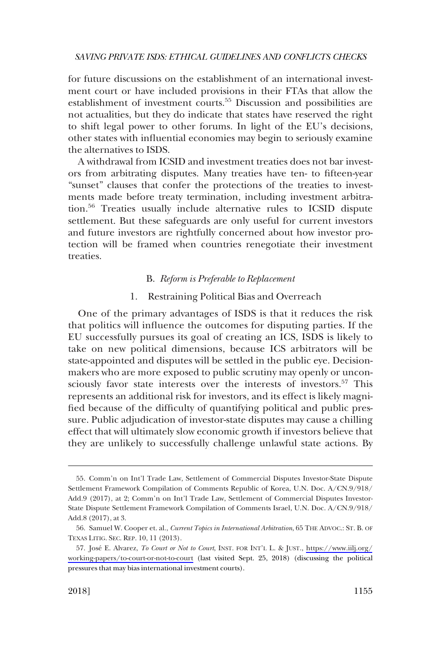<span id="page-12-0"></span>for future discussions on the establishment of an international investment court or have included provisions in their FTAs that allow the establishment of investment courts.55 Discussion and possibilities are not actualities, but they do indicate that states have reserved the right to shift legal power to other forums. In light of the EU's decisions, other states with influential economies may begin to seriously examine the alternatives to ISDS.

A withdrawal from ICSID and investment treaties does not bar investors from arbitrating disputes. Many treaties have ten- to fifteen-year "sunset" clauses that confer the protections of the treaties to investments made before treaty termination, including investment arbitration.56 Treaties usually include alternative rules to ICSID dispute settlement. But these safeguards are only useful for current investors and future investors are rightfully concerned about how investor protection will be framed when countries renegotiate their investment treaties.

## B. *Reform is Preferable to Replacement*

#### 1. Restraining Political Bias and Overreach

One of the primary advantages of ISDS is that it reduces the risk that politics will influence the outcomes for disputing parties. If the EU successfully pursues its goal of creating an ICS, ISDS is likely to take on new political dimensions, because ICS arbitrators will be state-appointed and disputes will be settled in the public eye. Decisionmakers who are more exposed to public scrutiny may openly or unconsciously favor state interests over the interests of investors.<sup>57</sup> This represents an additional risk for investors, and its effect is likely magnified because of the difficulty of quantifying political and public pressure. Public adjudication of investor-state disputes may cause a chilling effect that will ultimately slow economic growth if investors believe that they are unlikely to successfully challenge unlawful state actions. By

<sup>55.</sup> Comm'n on Int'l Trade Law, Settlement of Commercial Disputes Investor-State Dispute Settlement Framework Compilation of Comments Republic of Korea, U.N. Doc. A/CN.9/918/ Add.9 (2017), at 2; Comm'n on Int'l Trade Law, Settlement of Commercial Disputes Investor-State Dispute Settlement Framework Compilation of Comments Israel, U.N. Doc. A/CN.9/918/ Add.8 (2017), at 3.

<sup>56.</sup> Samuel W. Cooper et. al., *Current Topics in International Arbitration*, 65 THE ADVOC.: ST. B. OF TEXAS LITIG. SEC. REP. 10, 11 (2013).

<sup>57.</sup> José E. Alvarez, *To Court or Not to Court*, INST. FOR INT'L L. & JUST., [https://www.iilj.org/](https://www.iilj.org/working-papers/to-court-or-not-to-court) [working-papers/to-court-or-not-to-court](https://www.iilj.org/working-papers/to-court-or-not-to-court) (last visited Sept. 25, 2018) (discussing the political pressures that may bias international investment courts).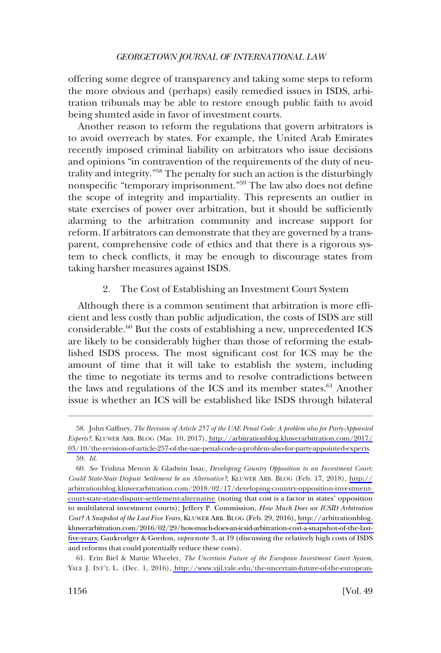<span id="page-13-0"></span>offering some degree of transparency and taking some steps to reform the more obvious and (perhaps) easily remedied issues in ISDS, arbitration tribunals may be able to restore enough public faith to avoid being shunted aside in favor of investment courts.

Another reason to reform the regulations that govern arbitrators is to avoid overreach by states. For example, the United Arab Emirates recently imposed criminal liability on arbitrators who issue decisions and opinions "in contravention of the requirements of the duty of neutrality and integrity."<sup>58</sup> The penalty for such an action is the disturbingly nonspecific "temporary imprisonment."59 The law also does not define the scope of integrity and impartiality. This represents an outlier in state exercises of power over arbitration, but it should be sufficiently alarming to the arbitration community and increase support for reform. If arbitrators can demonstrate that they are governed by a transparent, comprehensive code of ethics and that there is a rigorous system to check conflicts, it may be enough to discourage states from taking harsher measures against ISDS.

## 2. The Cost of Establishing an Investment Court System

Although there is a common sentiment that arbitration is more efficient and less costly than public adjudication, the costs of ISDS are still considerable. $60$  But the costs of establishing a new, unprecedented ICS are likely to be considerably higher than those of reforming the established ISDS process. The most significant cost for ICS may be the amount of time that it will take to establish the system, including the time to negotiate its terms and to resolve contradictions between the laws and regulations of the ICS and its member states.<sup>61</sup> Another issue is whether an ICS will be established like ISDS through bilateral

<sup>58.</sup> John Gaffney, *The Revision of Article 257 of the UAE Penal Code: A problem also for Party-Appointed Experts?*, KLUWER ARB. BLOG (Mar. 10, 2017), [http://arbitrationblog.kluwerarbitration.com/2017/](http://arbitrationblog.kluwerarbitration.com/2017/03/10/the-revision-of-article-257-of-the-uae-penal-code-a-problem-also-for-party-appointed-experts)  [03/10/the-revision-of-article-257-of-the-uae-penal-code-a-problem-also-for-party-appointed-experts.](http://arbitrationblog.kluwerarbitration.com/2017/03/10/the-revision-of-article-257-of-the-uae-penal-code-a-problem-also-for-party-appointed-experts) 59. *Id*.

*See* Trishna Menon & Gladwin Issac, *Developing Country Opposition to an Investment Court:*  60. *Could State-State Dispute Settlement be an Alternative?*, KLUWER ARB. BLOG (Feb. 17, 2018), [http://](http://arbitrationblog.kluwerarbitration.com/2018/02/17/developing-country-opposition-investment-court-state-state-dispute-settlement-alternative) [arbitrationblog.kluwerarbitration.com/2018/02/17/developing-country-opposition-investment](http://arbitrationblog.kluwerarbitration.com/2018/02/17/developing-country-opposition-investment-court-state-state-dispute-settlement-alternative)[court-state-state-dispute-settlement-alternative](http://arbitrationblog.kluwerarbitration.com/2018/02/17/developing-country-opposition-investment-court-state-state-dispute-settlement-alternative) (noting that cost is a factor in states' opposition to multilateral investment courts); Jeffery P. Commission, *How Much Does an ICSID Arbitration Cost? A Snapshot of the Last Five Years*, KLUWER ARB. BLOG (Feb. 29, 2016), [http://arbitrationblog.](http://arbitrationblog.kluwerarbitration.com/2016/02/29/how-much-does-an-icsid-arbitration-cost-a-snapshot-of-the-last-five-years) [kluwerarbitration.com/2016/02/29/how-much-does-an-icsid-arbitration-cost-a-snapshot-of-the-last](http://arbitrationblog.kluwerarbitration.com/2016/02/29/how-much-does-an-icsid-arbitration-cost-a-snapshot-of-the-last-five-years)[five-years](http://arbitrationblog.kluwerarbitration.com/2016/02/29/how-much-does-an-icsid-arbitration-cost-a-snapshot-of-the-last-five-years); Gaukrodger & Gordon, *supra* note 3, at 19 (discussing the relatively high costs of ISDS and reforms that could potentially reduce these costs).

Erin Biel & Mattie Wheeler, *The Uncertain Future of the European Investment Court System*, 61. YALE J. INT'L L. (Dec. 1, 2016), [http://www.yjil.yale.edu/the-uncertain-future-of-the-european-](http://www.yjil.yale.edu/the-uncertain-future-of-the-european-investment-court-system)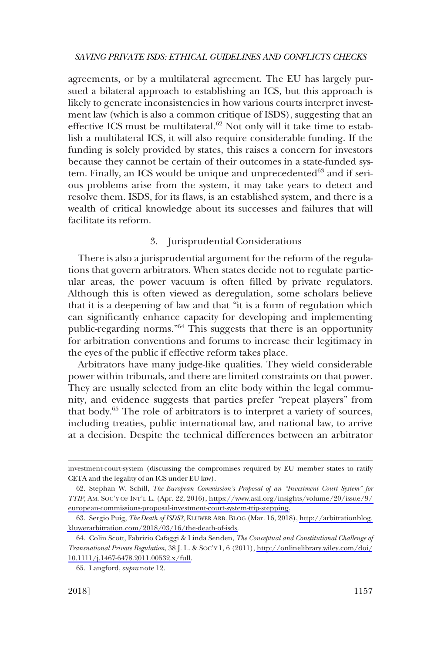<span id="page-14-0"></span>agreements, or by a multilateral agreement. The EU has largely pursued a bilateral approach to establishing an ICS, but this approach is likely to generate inconsistencies in how various courts interpret investment law (which is also a common critique of ISDS), suggesting that an effective ICS must be multilateral.<sup>62</sup> Not only will it take time to establish a multilateral ICS, it will also require considerable funding. If the funding is solely provided by states, this raises a concern for investors because they cannot be certain of their outcomes in a state-funded system. Finally, an ICS would be unique and unprecedented<sup>63</sup> and if serious problems arise from the system, it may take years to detect and resolve them. ISDS, for its flaws, is an established system, and there is a wealth of critical knowledge about its successes and failures that will facilitate its reform.

## 3. Jurisprudential Considerations

There is also a jurisprudential argument for the reform of the regulations that govern arbitrators. When states decide not to regulate particular areas, the power vacuum is often filled by private regulators. Although this is often viewed as deregulation, some scholars believe that it is a deepening of law and that "it is a form of regulation which can significantly enhance capacity for developing and implementing public-regarding norms."<sup>64</sup> This suggests that there is an opportunity for arbitration conventions and forums to increase their legitimacy in the eyes of the public if effective reform takes place.

Arbitrators have many judge-like qualities. They wield considerable power within tribunals, and there are limited constraints on that power. They are usually selected from an elite body within the legal community, and evidence suggests that parties prefer "repeat players" from that body.65 The role of arbitrators is to interpret a variety of sources, including treaties, public international law, and national law, to arrive at a decision. Despite the technical differences between an arbitrator

investment-court-system (discussing the compromises required by EU member states to ratify CETA and the legality of an ICS under EU law).

<sup>62.</sup> Stephan W. Schill, *The European Commission's Proposal of an "Investment Court System" for TTIP*, AM. SOC'Y OF INT'L L. (Apr. 22, 2016), [https://www.asil.org/insights/volume/20/issue/9/](https://www.asil.org/insights/volume/20/issue/9/european-commissions-proposal-investment-court-system-ttip-stepping)  [european-commissions-proposal-investment-court-system-ttip-stepping.](https://www.asil.org/insights/volume/20/issue/9/european-commissions-proposal-investment-court-system-ttip-stepping)

<sup>63.</sup> Sergio Puig, *The Death of ISDS?*, KLUWER ARB. BLOG (Mar. 16, 2018), [http://arbitrationblog.](http://arbitrationblog.kluwerarbitration.com/2018/03/16/the-death-of-isds) [kluwerarbitration.com/2018/03/16/the-death-of-isds.](http://arbitrationblog.kluwerarbitration.com/2018/03/16/the-death-of-isds)

Colin Scott, Fabrizio Cafaggi & Linda Senden, *The Conceptual and Constitutional Challenge of*  64. *Transnational Private Regulation*, 38 J. L. & SOC'Y 1, 6 (2011), [http://onlinelibrary.wiley.com/doi/](http://onlinelibrary.wiley.com/doi/10.1111/j.1467-6478.2011.00532.x/full) [10.1111/j.1467-6478.2011.00532.x/full.](http://onlinelibrary.wiley.com/doi/10.1111/j.1467-6478.2011.00532.x/full)

<sup>65.</sup> Langford, *supra* note 12.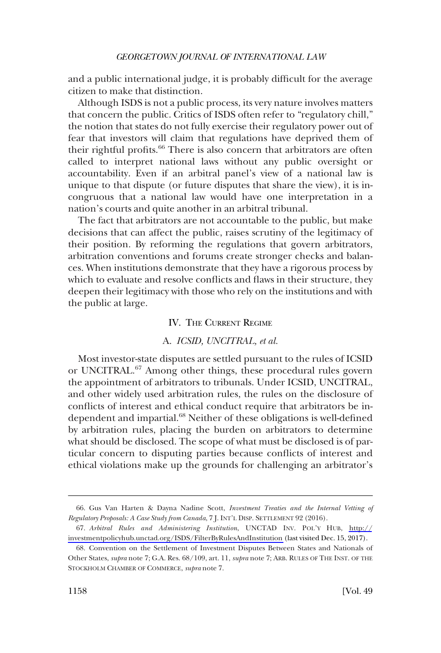<span id="page-15-0"></span>and a public international judge, it is probably difficult for the average citizen to make that distinction.

Although ISDS is not a public process, its very nature involves matters that concern the public. Critics of ISDS often refer to "regulatory chill," the notion that states do not fully exercise their regulatory power out of fear that investors will claim that regulations have deprived them of their rightful profits.<sup>66</sup> There is also concern that arbitrators are often called to interpret national laws without any public oversight or accountability. Even if an arbitral panel's view of a national law is unique to that dispute (or future disputes that share the view), it is incongruous that a national law would have one interpretation in a nation's courts and quite another in an arbitral tribunal.

The fact that arbitrators are not accountable to the public, but make decisions that can affect the public, raises scrutiny of the legitimacy of their position. By reforming the regulations that govern arbitrators, arbitration conventions and forums create stronger checks and balances. When institutions demonstrate that they have a rigorous process by which to evaluate and resolve conflicts and flaws in their structure, they deepen their legitimacy with those who rely on the institutions and with the public at large.

## IV. THE CURRENT REGIME

## A. *ICSID, UNCITRAL, et al.*

Most investor-state disputes are settled pursuant to the rules of ICSID or UNCITRAL.<sup>67</sup> Among other things, these procedural rules govern the appointment of arbitrators to tribunals. Under ICSID, UNCITRAL, and other widely used arbitration rules, the rules on the disclosure of conflicts of interest and ethical conduct require that arbitrators be independent and impartial.<sup>68</sup> Neither of these obligations is well-defined by arbitration rules, placing the burden on arbitrators to determine what should be disclosed. The scope of what must be disclosed is of particular concern to disputing parties because conflicts of interest and ethical violations make up the grounds for challenging an arbitrator's

<sup>66.</sup> Gus Van Harten & Dayna Nadine Scott, *Investment Treaties and the Internal Vetting of Regulatory Proposals: A Case Study from Canada*, 7 J. INT'L DISP. SETTLEMENT 92 (2016).

*Arbitral Rules and Administering Institution*, UNCTAD INV. POL'Y HUB, [http://](http://investmentpolicyhub.unctad.org/ISDS/FilterByRulesAndInstitution) 67. [investmentpolicyhub.unctad.org/ISDS/FilterByRulesAndInstitution](http://investmentpolicyhub.unctad.org/ISDS/FilterByRulesAndInstitution) (last visited Dec. 15, 2017).

<sup>68.</sup> Convention on the Settlement of Investment Disputes Between States and Nationals of Other States, *supra* note 7; G.A. Res. 68/109, art. 11, *supra* note 7; ARB. RULES OF THE INST. OF THE STOCKHOLM CHAMBER OF COMMERCE, *supra* note 7.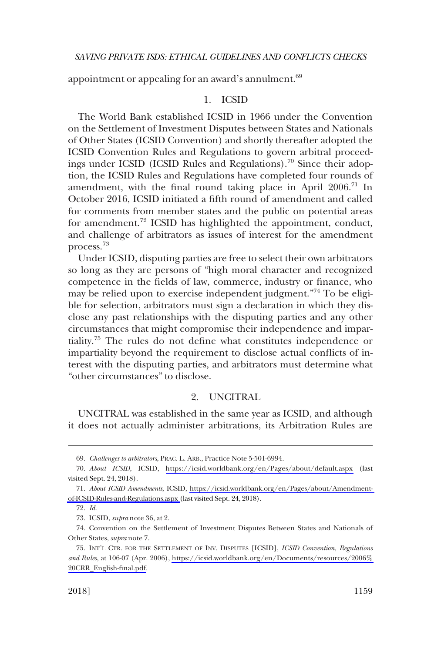<span id="page-16-0"></span>appointment or appealing for an award's annulment.<sup>69</sup>

## 1. ICSID

The World Bank established ICSID in 1966 under the Convention on the Settlement of Investment Disputes between States and Nationals of Other States (ICSID Convention) and shortly thereafter adopted the ICSID Convention Rules and Regulations to govern arbitral proceedings under ICSID (ICSID Rules and Regulations).<sup>70</sup> Since their adoption, the ICSID Rules and Regulations have completed four rounds of amendment, with the final round taking place in April  $2006$ .<sup>71</sup> In October 2016, ICSID initiated a fifth round of amendment and called for comments from member states and the public on potential areas for amendment.<sup>72</sup> ICSID has highlighted the appointment, conduct, and challenge of arbitrators as issues of interest for the amendment process.73

Under ICSID, disputing parties are free to select their own arbitrators so long as they are persons of "high moral character and recognized competence in the fields of law, commerce, industry or finance, who may be relied upon to exercise independent judgment."74 To be eligible for selection, arbitrators must sign a declaration in which they disclose any past relationships with the disputing parties and any other circumstances that might compromise their independence and impartiality.75 The rules do not define what constitutes independence or impartiality beyond the requirement to disclose actual conflicts of interest with the disputing parties, and arbitrators must determine what "other circumstances" to disclose.

## 2. UNCITRAL

UNCITRAL was established in the same year as ICSID, and although it does not actually administer arbitrations, its Arbitration Rules are

<sup>69.</sup> *Challenges to arbitrators*, PRAC. L. ARB., Practice Note 5-501-6994.

<sup>70.</sup> About ICSID, ICSID, <https://icsid.worldbank.org/en/Pages/about/default.aspx>(last visited Sept. 24, 2018).

*About ICSID Amendments*, ICSID, [https://icsid.worldbank.org/en/Pages/about/Amendment-](https://icsid.worldbank.org/en/Pages/about/Amendment-of-ICSID-Rules-and-Regulations.aspx)71. [of-ICSID-Rules-and-Regulations.aspx](https://icsid.worldbank.org/en/Pages/about/Amendment-of-ICSID-Rules-and-Regulations.aspx) (last visited Sept. 24, 2018).

<sup>72.</sup> *Id*.

<sup>73.</sup> ICSID, *supra* note 36, at 2.

<sup>74.</sup> Convention on the Settlement of Investment Disputes Between States and Nationals of Other States, *supra* note 7.

<sup>75.</sup> INT'L CTR. FOR THE SETTLEMENT OF INV. DISPUTES [ICSID], *ICSID Convention, Regulations and Rules*, at 106-07 (Apr. 2006), [https://icsid.worldbank.org/en/Documents/resources/2006%](https://icsid.worldbank.org/en/Documents/resources/2006%20CRR_English-final.pdf)  [20CRR\\_English-final.pdf.](https://icsid.worldbank.org/en/Documents/resources/2006%20CRR_English-final.pdf)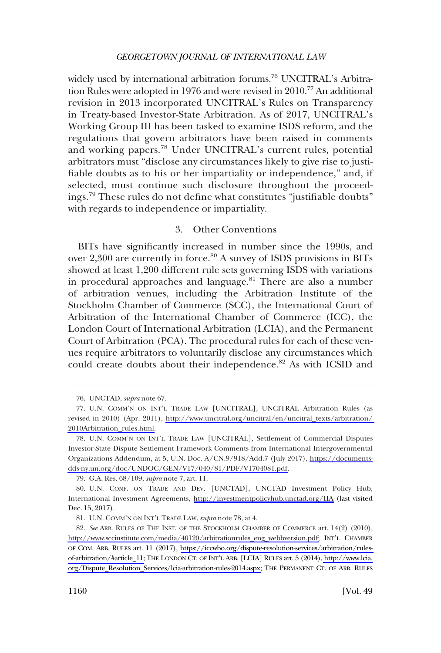<span id="page-17-0"></span>widely used by international arbitration forums.<sup>76</sup> UNCITRAL's Arbitration Rules were adopted in 1976 and were revised in 2010.<sup>77</sup> An additional revision in 2013 incorporated UNCITRAL's Rules on Transparency in Treaty-based Investor-State Arbitration. As of 2017, UNCITRAL's Working Group III has been tasked to examine ISDS reform, and the regulations that govern arbitrators have been raised in comments and working papers.<sup>78</sup> Under UNCITRAL's current rules, potential arbitrators must "disclose any circumstances likely to give rise to justifiable doubts as to his or her impartiality or independence," and, if selected, must continue such disclosure throughout the proceedings.79 These rules do not define what constitutes "justifiable doubts" with regards to independence or impartiality.

## 3. Other Conventions

BITs have significantly increased in number since the 1990s, and over 2,300 are currently in force.<sup>80</sup> A survey of ISDS provisions in BITs showed at least 1,200 different rule sets governing ISDS with variations in procedural approaches and language.<sup>81</sup> There are also a number of arbitration venues, including the Arbitration Institute of the Stockholm Chamber of Commerce (SCC), the International Court of Arbitration of the International Chamber of Commerce (ICC), the London Court of International Arbitration (LCIA), and the Permanent Court of Arbitration (PCA). The procedural rules for each of these venues require arbitrators to voluntarily disclose any circumstances which could create doubts about their independence.<sup>82</sup> As with ICSID and

<sup>76.</sup> UNCTAD, *supra* note 67.

U.N. COMM'N ON INT'L TRADE LAW [UNCITRAL], UNCITRAL Arbitration Rules (as 77. revised in 2010) (Apr. 2011), [http://www.uncitral.org/uncitral/en/uncitral\\_texts/arbitration/](http://www.uncitral.org/uncitral/en/uncitral_texts/arbitration/2010Arbitration_rules.html)  [2010Arbitration\\_rules.html.](http://www.uncitral.org/uncitral/en/uncitral_texts/arbitration/2010Arbitration_rules.html)

U.N. COMM'N ON INT'L TRADE LAW [UNCITRAL], Settlement of Commercial Disputes 78. Investor-State Dispute Settlement Framework Comments from International Intergovernmental Organizations Addendum, at 5, U.N. Doc. A/CN.9/918/Add.7 (July 2017), [https://documents](https://documents-dds-ny.un.org/doc/UNDOC/GEN/V17/040/81/PDF/V1704081.pdf)[dds-ny.un.org/doc/UNDOC/GEN/V17/040/81/PDF/V1704081.pdf.](https://documents-dds-ny.un.org/doc/UNDOC/GEN/V17/040/81/PDF/V1704081.pdf)

<sup>79.</sup> G.A. Res. 68/109, *supra* note 7, art. 11.

U.N. CONF. ON TRADE AND DEV. [UNCTAD], UNCTAD Investment Policy Hub, 80. International Investment Agreements, <http://investmentpolicyhub.unctad.org/IIA>(last visited Dec. 15, 2017).

<sup>81.</sup> U.N. COMM'N ON INT'L TRADE LAW, *supra* note 78, at 4.

<sup>82.</sup> See ARB. RULES OF THE INST. OF THE STOCKHOLM CHAMBER OF COMMERCE art. 14(2) (2010), [http://www.sccinstitute.com/media/40120/arbitrationrules\\_eng\\_webbversion.pdf;](http://www.sccinstitute.com/media/40120/arbitrationrules_eng_webbversion.pdf) INT'L CHAMBER OF COM. ARB. RULES art. 11 (2017), [https://iccwbo.org/dispute-resolution-services/arbitration/rules](https://iccwbo.org/dispute-resolution-services/arbitration/rules-of-arbitration/#article_11)[of-arbitration/#article\\_11;](https://iccwbo.org/dispute-resolution-services/arbitration/rules-of-arbitration/#article_11) THE LONDON CT. OF INT'L ARB. [LCIA] RULES art. 5 (2014), [http://www.lcia.](http://www.lcia.org/Dispute_Resolution_Services/lcia-arbitration-rules-2014.aspx)  [org/Dispute\\_Resolution\\_Services/lcia-arbitration-rules-2014.aspx;](http://www.lcia.org/Dispute_Resolution_Services/lcia-arbitration-rules-2014.aspx) THE PERMANENT CT. OF ARB. RULES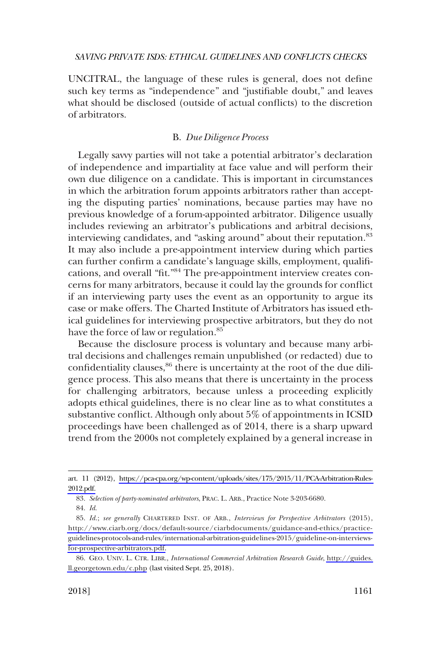<span id="page-18-0"></span>UNCITRAL, the language of these rules is general, does not define such key terms as "independence" and "justifiable doubt," and leaves what should be disclosed (outside of actual conflicts) to the discretion of arbitrators.

## B. *Due Diligence Process*

Legally savvy parties will not take a potential arbitrator's declaration of independence and impartiality at face value and will perform their own due diligence on a candidate. This is important in circumstances in which the arbitration forum appoints arbitrators rather than accepting the disputing parties' nominations, because parties may have no previous knowledge of a forum-appointed arbitrator. Diligence usually includes reviewing an arbitrator's publications and arbitral decisions, interviewing candidates, and "asking around" about their reputation.<sup>83</sup> It may also include a pre-appointment interview during which parties can further confirm a candidate's language skills, employment, qualifications, and overall "fit."84 The pre-appointment interview creates concerns for many arbitrators, because it could lay the grounds for conflict if an interviewing party uses the event as an opportunity to argue its case or make offers. The Charted Institute of Arbitrators has issued ethical guidelines for interviewing prospective arbitrators, but they do not have the force of law or regulation.<sup>85</sup>

Because the disclosure process is voluntary and because many arbitral decisions and challenges remain unpublished (or redacted) due to confidentiality clauses,  $86$  there is uncertainty at the root of the due diligence process. This also means that there is uncertainty in the process for challenging arbitrators, because unless a proceeding explicitly adopts ethical guidelines, there is no clear line as to what constitutes a substantive conflict. Although only about 5% of appointments in ICSID proceedings have been challenged as of 2014, there is a sharp upward trend from the 2000s not completely explained by a general increase in

art. 11 (2012), [https://pca-cpa.org/wp-content/uploads/sites/175/2015/11/PCA-Arbitration-Rules-](https://pca-cpa.org/wp-content/uploads/sites/175/2015/11/PCA-Arbitration-Rules-2012.pdf)[2012.pdf.](https://pca-cpa.org/wp-content/uploads/sites/175/2015/11/PCA-Arbitration-Rules-2012.pdf)

<sup>83.</sup> *Selection of party-nominated arbitrators*, PRAC. L. ARB., Practice Note 3-203-6680.

<sup>84.</sup> *Id*.

*Id*.; *see generally* CHARTERED INST. OF ARB., *Interviews for Perspective Arbitrators* (2015), 85. [http://www.ciarb.org/docs/default-source/ciarbdocuments/guidance-and-ethics/practice](http://www.ciarb.org/docs/default-source/ciarbdocuments/guidance-and-ethics/practice-guidelines-protocols-and-rules/international-arbitration-guidelines-2015/guideline-on-interviews-for-prospective-arbitrators.pdf)[guidelines-protocols-and-rules/international-arbitration-guidelines-2015/guideline-on-interviews](http://www.ciarb.org/docs/default-source/ciarbdocuments/guidance-and-ethics/practice-guidelines-protocols-and-rules/international-arbitration-guidelines-2015/guideline-on-interviews-for-prospective-arbitrators.pdf)[for-prospective-arbitrators.pdf.](http://www.ciarb.org/docs/default-source/ciarbdocuments/guidance-and-ethics/practice-guidelines-protocols-and-rules/international-arbitration-guidelines-2015/guideline-on-interviews-for-prospective-arbitrators.pdf)

GEO. UNIV. L. CTR. LIBR., *International Commercial Arbitration Research Guide*, [http://guides.](http://guides.ll.georgetown.edu/c.php) 86. [ll.georgetown.edu/c.php](http://guides.ll.georgetown.edu/c.php) (last visited Sept. 25, 2018).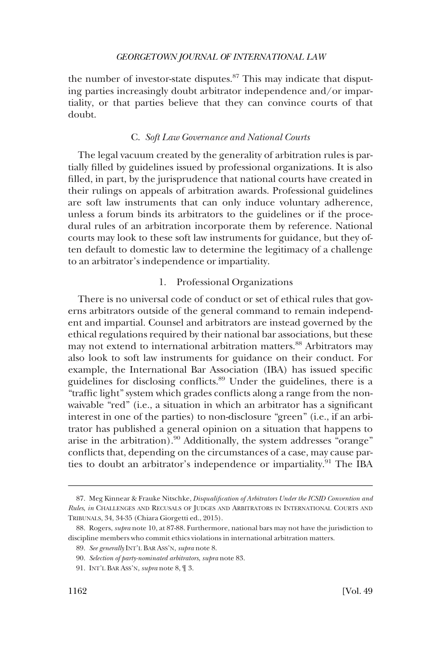<span id="page-19-0"></span>the number of investor-state disputes. $87$  This may indicate that disputing parties increasingly doubt arbitrator independence and/or impartiality, or that parties believe that they can convince courts of that doubt.

## C. *Soft Law Governance and National Courts*

The legal vacuum created by the generality of arbitration rules is partially filled by guidelines issued by professional organizations. It is also filled, in part, by the jurisprudence that national courts have created in their rulings on appeals of arbitration awards. Professional guidelines are soft law instruments that can only induce voluntary adherence, unless a forum binds its arbitrators to the guidelines or if the procedural rules of an arbitration incorporate them by reference. National courts may look to these soft law instruments for guidance, but they often default to domestic law to determine the legitimacy of a challenge to an arbitrator's independence or impartiality.

## 1. Professional Organizations

There is no universal code of conduct or set of ethical rules that governs arbitrators outside of the general command to remain independent and impartial. Counsel and arbitrators are instead governed by the ethical regulations required by their national bar associations, but these may not extend to international arbitration matters.<sup>88</sup> Arbitrators may also look to soft law instruments for guidance on their conduct. For example, the International Bar Association (IBA) has issued specific guidelines for disclosing conflicts.89 Under the guidelines, there is a "traffic light" system which grades conflicts along a range from the nonwaivable "red" (i.e., a situation in which an arbitrator has a significant interest in one of the parties) to non-disclosure "green" (i.e., if an arbitrator has published a general opinion on a situation that happens to arise in the arbitration). $90$  Additionally, the system addresses "orange" conflicts that, depending on the circumstances of a case, may cause parties to doubt an arbitrator's independence or impartiality.<sup>91</sup> The IBA

<sup>87.</sup> Meg Kinnear & Frauke Nitschke, *Disqualification of Arbitrators Under the ICSID Convention and Rules*, *in* CHALLENGES AND RECUSALS OF JUDGES AND ARBITRATORS IN INTERNATIONAL COURTS AND TRIBUNALS, 34, 34-35 (Chiara Giorgetti ed., 2015).

<sup>88.</sup> Rogers, *supra* note 10, at 87-88. Furthermore, national bars may not have the jurisdiction to discipline members who commit ethics violations in international arbitration matters.

<sup>89.</sup> *See generally* INT'L BAR ASS'N, *supra* note 8.

<sup>90.</sup> *Selection of party-nominated arbitrators*, *supra* note 83.

<sup>91.</sup> INT'L BAR ASS'N, *supra* note 8, ¶ 3.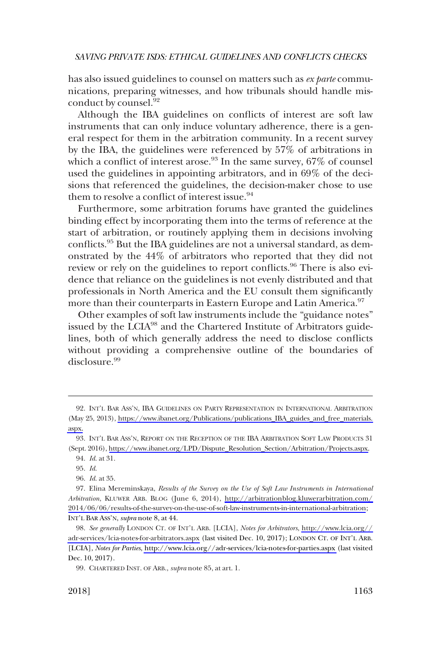has also issued guidelines to counsel on matters such as *ex parte* communications, preparing witnesses, and how tribunals should handle misconduct by counsel.<sup>92</sup>

Although the IBA guidelines on conflicts of interest are soft law instruments that can only induce voluntary adherence, there is a general respect for them in the arbitration community. In a recent survey by the IBA, the guidelines were referenced by 57% of arbitrations in which a conflict of interest arose.<sup>93</sup> In the same survey,  $67\%$  of counsel used the guidelines in appointing arbitrators, and in 69% of the decisions that referenced the guidelines, the decision-maker chose to use them to resolve a conflict of interest issue.<sup>94</sup>

Furthermore, some arbitration forums have granted the guidelines binding effect by incorporating them into the terms of reference at the start of arbitration, or routinely applying them in decisions involving conflicts.95 But the IBA guidelines are not a universal standard, as demonstrated by the 44% of arbitrators who reported that they did not review or rely on the guidelines to report conflicts.<sup>96</sup> There is also evidence that reliance on the guidelines is not evenly distributed and that professionals in North America and the EU consult them significantly more than their counterparts in Eastern Europe and Latin America.<sup>97</sup>

Other examples of soft law instruments include the "guidance notes" issued by the LCIA<sup>98</sup> and the Chartered Institute of Arbitrators guidelines, both of which generally address the need to disclose conflicts without providing a comprehensive outline of the boundaries of disclosure.<sup>99</sup>

<sup>92.</sup> INT'L BAR ASS'N, IBA GUIDELINES ON PARTY REPRESENTATION IN INTERNATIONAL ARBITRATION (May 25, 2013), [https://www.ibanet.org/Publications/publications\\_IBA\\_guides\\_and\\_free\\_materials.](https://www.ibanet.org/Publications/publications_IBA_guides_and_free_materials.aspx)  [aspx.](https://www.ibanet.org/Publications/publications_IBA_guides_and_free_materials.aspx)

<sup>93.</sup> INT'L BAR ASS'N, REPORT ON THE RECEPTION OF THE IBA ARBITRATION SOFT LAW PRODUCTS 31 (Sept. 2016), [https://www.ibanet.org/LPD/Dispute\\_Resolution\\_Section/Arbitration/Projects.aspx.](https://www.ibanet.org/LPD/Dispute_Resolution_Section/Arbitration/Projects.aspx)

<sup>94.</sup> *Id*. at 31.

<sup>95.</sup> *Id*.

<sup>96.</sup> *Id*. at 35.

Elina Mereminskaya, *Results of the Survey on the Use of Soft Law Instruments in International*  97. *Arbitration*, KLUWER ARB. BLOG (June 6, 2014), [http://arbitrationblog.kluwerarbitration.com/](http://arbitrationblog.kluwerarbitration.com/2014/06/06/results-of-the-survey-on-the-use-of-soft-law-instruments-in-international-arbitration)  [2014/06/06/results-of-the-survey-on-the-use-of-soft-law-instruments-in-international-arbitration](http://arbitrationblog.kluwerarbitration.com/2014/06/06/results-of-the-survey-on-the-use-of-soft-law-instruments-in-international-arbitration); INT'L BAR ASS'N, *supra* note 8, at 44.

*See generally* LONDON CT. OF INT'L ARB. [LCIA], *Notes for Arbitrators*, [http://www.lcia.org//](http://www.lcia.org//adr-services/lcia-notes-for-arbitrators.aspx) 98. [adr-services/lcia-notes-for-arbitrators.aspx](http://www.lcia.org//adr-services/lcia-notes-for-arbitrators.aspx) (last visited Dec. 10, 2017); LONDON CT. OF INT'L ARB. [LCIA], *Notes for Parties*,<http://www.lcia.org//adr-services/lcia-notes-for-parties.aspx>(last visited Dec. 10, 2017).

<sup>99.</sup> CHARTERED INST. OF ARB., *supra* note 85, at art. 1.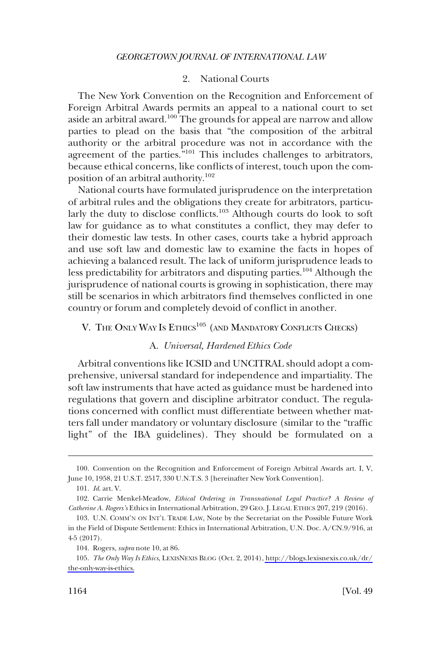## 2. National Courts

<span id="page-21-0"></span>The New York Convention on the Recognition and Enforcement of Foreign Arbitral Awards permits an appeal to a national court to set aside an arbitral award.100 The grounds for appeal are narrow and allow parties to plead on the basis that "the composition of the arbitral authority or the arbitral procedure was not in accordance with the agreement of the parties.<sup>"101</sup> This includes challenges to arbitrators, because ethical concerns, like conflicts of interest, touch upon the composition of an arbitral authority.<sup>102</sup>

National courts have formulated jurisprudence on the interpretation of arbitral rules and the obligations they create for arbitrators, particularly the duty to disclose conflicts.<sup>103</sup> Although courts do look to soft law for guidance as to what constitutes a conflict, they may defer to their domestic law tests. In other cases, courts take a hybrid approach and use soft law and domestic law to examine the facts in hopes of achieving a balanced result. The lack of uniform jurisprudence leads to less predictability for arbitrators and disputing parties.<sup>104</sup> Although the jurisprudence of national courts is growing in sophistication, there may still be scenarios in which arbitrators find themselves conflicted in one country or forum and completely devoid of conflict in another.

## V. THE ONLY WAY IS ETHICS<sup>105</sup> (AND MANDATORY CONFLICTS CHECKS)

## A. *Universal, Hardened Ethics Code*

Arbitral conventions like ICSID and UNCITRAL should adopt a comprehensive, universal standard for independence and impartiality. The soft law instruments that have acted as guidance must be hardened into regulations that govern and discipline arbitrator conduct. The regulations concerned with conflict must differentiate between whether matters fall under mandatory or voluntary disclosure (similar to the "traffic light" of the IBA guidelines). They should be formulated on a

<sup>100.</sup> Convention on the Recognition and Enforcement of Foreign Arbitral Awards art. I, V, June 10, 1958, 21 U.S.T. 2517, 330 U.N.T.S. 3 [hereinafter New York Convention].

<sup>101.</sup> *Id*. art. V.

<sup>102.</sup> Carrie Menkel-Meadow, *Ethical Ordering in Transnational Legal Practice? A Review of Catherine A. Rogers's* Ethics in International Arbitration, 29 GEO. J. LEGAL ETHICS 207, 219 (2016).

<sup>103.</sup> U.N. COMM'N ON INT'L TRADE LAW, Note by the Secretariat on the Possible Future Work in the Field of Dispute Settlement: Ethics in International Arbitration, U.N. Doc. A/CN.9/916, at 4-5 (2017).

<sup>104.</sup> Rogers, *supra* note 10, at 86.

*The Only Way Is Ethics*, LEXISNEXIS BLOG (Oct. 2, 2014), [http://blogs.lexisnexis.co.uk/dr/](http://blogs.lexisnexis.co.uk/dr/the-only-way-is-ethics)  105. [the-only-way-is-ethics.](http://blogs.lexisnexis.co.uk/dr/the-only-way-is-ethics)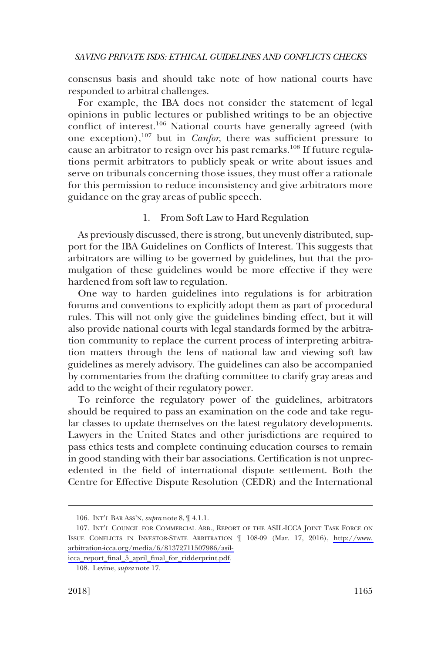<span id="page-22-0"></span>consensus basis and should take note of how national courts have responded to arbitral challenges.

For example, the IBA does not consider the statement of legal opinions in public lectures or published writings to be an objective conflict of interest.<sup>106</sup> National courts have generally agreed (with one exception),<sup>107</sup> but in *Canfor*, there was sufficient pressure to cause an arbitrator to resign over his past remarks.<sup>108</sup> If future regulations permit arbitrators to publicly speak or write about issues and serve on tribunals concerning those issues, they must offer a rationale for this permission to reduce inconsistency and give arbitrators more guidance on the gray areas of public speech.

## 1. From Soft Law to Hard Regulation

As previously discussed, there is strong, but unevenly distributed, support for the IBA Guidelines on Conflicts of Interest. This suggests that arbitrators are willing to be governed by guidelines, but that the promulgation of these guidelines would be more effective if they were hardened from soft law to regulation.

One way to harden guidelines into regulations is for arbitration forums and conventions to explicitly adopt them as part of procedural rules. This will not only give the guidelines binding effect, but it will also provide national courts with legal standards formed by the arbitration community to replace the current process of interpreting arbitration matters through the lens of national law and viewing soft law guidelines as merely advisory. The guidelines can also be accompanied by commentaries from the drafting committee to clarify gray areas and add to the weight of their regulatory power.

To reinforce the regulatory power of the guidelines, arbitrators should be required to pass an examination on the code and take regular classes to update themselves on the latest regulatory developments. Lawyers in the United States and other jurisdictions are required to pass ethics tests and complete continuing education courses to remain in good standing with their bar associations. Certification is not unprecedented in the field of international dispute settlement. Both the Centre for Effective Dispute Resolution (CEDR) and the International

<sup>106.</sup> INT'L BAR ASS'N, *supra* note 8, ¶ 4.1.1.

<sup>107.</sup> INT'L COUNCIL FOR COMMERCIAL ARB., REPORT OF THE ASIL-ICCA JOINT TASK FORCE ON ISSUE CONFLICTS IN INVESTOR-STATE ARBITRATION ¶ 108-09 (Mar. 17, 2016), [http://www.](http://www.arbitration-icca.org/media/6/81372711507986/asil-icca_report_final_5_april_final_for_ridderprint.pdf)  [arbitration-icca.org/media/6/81372711507986/asil-](http://www.arbitration-icca.org/media/6/81372711507986/asil-icca_report_final_5_april_final_for_ridderprint.pdf)

[icca\\_report\\_final\\_5\\_april\\_final\\_for\\_ridderprint.pdf.](http://www.arbitration-icca.org/media/6/81372711507986/asil-icca_report_final_5_april_final_for_ridderprint.pdf)

<sup>108.</sup> Levine, *supra* note 17.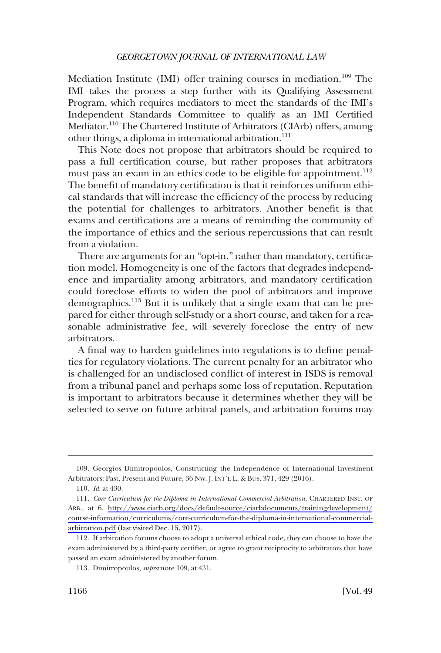Mediation Institute (IMI) offer training courses in mediation.<sup>109</sup> The IMI takes the process a step further with its Qualifying Assessment Program, which requires mediators to meet the standards of the IMI's Independent Standards Committee to qualify as an IMI Certified Mediator.<sup>110</sup> The Chartered Institute of Arbitrators (CIArb) offers, among other things, a diploma in international arbitration.<sup>111</sup>

This Note does not propose that arbitrators should be required to pass a full certification course, but rather proposes that arbitrators must pass an exam in an ethics code to be eligible for appointment.<sup>112</sup> The benefit of mandatory certification is that it reinforces uniform ethical standards that will increase the efficiency of the process by reducing the potential for challenges to arbitrators. Another benefit is that exams and certifications are a means of reminding the community of the importance of ethics and the serious repercussions that can result from a violation.

There are arguments for an "opt-in," rather than mandatory, certification model. Homogeneity is one of the factors that degrades independence and impartiality among arbitrators, and mandatory certification could foreclose efforts to widen the pool of arbitrators and improve demographics.<sup>113</sup> But it is unlikely that a single exam that can be prepared for either through self-study or a short course, and taken for a reasonable administrative fee, will severely foreclose the entry of new arbitrators.

A final way to harden guidelines into regulations is to define penalties for regulatory violations. The current penalty for an arbitrator who is challenged for an undisclosed conflict of interest in ISDS is removal from a tribunal panel and perhaps some loss of reputation. Reputation is important to arbitrators because it determines whether they will be selected to serve on future arbitral panels, and arbitration forums may

<sup>109.</sup> Georgios Dimitropoulos, Constructing the Independence of International Investment Arbitrators: Past, Present and Future, 36 NW. J. INT'L L. & BUS. 371, 429 (2016).

<sup>110.</sup> *Id*. at 430.

*Core Curriculum for the Diploma in International Commercial Arbitration*, CHARTERED INST. OF 111. ARB., at 6, [http://www.ciarb.org/docs/default-source/ciarbdocuments/trainingdevelopment/](http://www.ciarb.org/docs/default-source/ciarbdocuments/trainingdevelopment/course-information/curriculums/core-curriculum-for-the-diploma-in-international-commercial-arbitration.pdf) [course-information/curriculums/core-curriculum-for-the-diploma-in-international-commercial](http://www.ciarb.org/docs/default-source/ciarbdocuments/trainingdevelopment/course-information/curriculums/core-curriculum-for-the-diploma-in-international-commercial-arbitration.pdf)[arbitration.pdf](http://www.ciarb.org/docs/default-source/ciarbdocuments/trainingdevelopment/course-information/curriculums/core-curriculum-for-the-diploma-in-international-commercial-arbitration.pdf) (last visited Dec. 15, 2017).

<sup>112.</sup> If arbitration forums choose to adopt a universal ethical code, they can choose to have the exam administered by a third-party certifier, or agree to grant reciprocity to arbitrators that have passed an exam administered by another forum.

<sup>113.</sup> Dimitropoulos, *supra* note 109, at 431.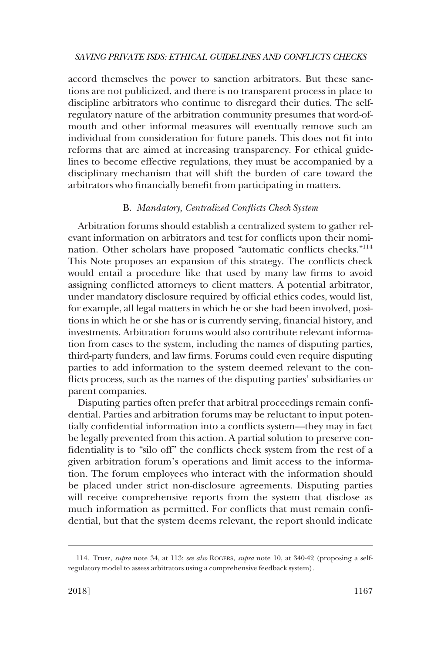<span id="page-24-0"></span>accord themselves the power to sanction arbitrators. But these sanctions are not publicized, and there is no transparent process in place to discipline arbitrators who continue to disregard their duties. The selfregulatory nature of the arbitration community presumes that word-ofmouth and other informal measures will eventually remove such an individual from consideration for future panels. This does not fit into reforms that are aimed at increasing transparency. For ethical guidelines to become effective regulations, they must be accompanied by a disciplinary mechanism that will shift the burden of care toward the arbitrators who financially benefit from participating in matters.

#### B. *Mandatory, Centralized Conflicts Check System*

Arbitration forums should establish a centralized system to gather relevant information on arbitrators and test for conflicts upon their nomination. Other scholars have proposed "automatic conflicts checks."114 This Note proposes an expansion of this strategy. The conflicts check would entail a procedure like that used by many law firms to avoid assigning conflicted attorneys to client matters. A potential arbitrator, under mandatory disclosure required by official ethics codes, would list, for example, all legal matters in which he or she had been involved, positions in which he or she has or is currently serving, financial history, and investments. Arbitration forums would also contribute relevant information from cases to the system, including the names of disputing parties, third-party funders, and law firms. Forums could even require disputing parties to add information to the system deemed relevant to the conflicts process, such as the names of the disputing parties' subsidiaries or parent companies.

Disputing parties often prefer that arbitral proceedings remain confidential. Parties and arbitration forums may be reluctant to input potentially confidential information into a conflicts system––they may in fact be legally prevented from this action. A partial solution to preserve confidentiality is to "silo off" the conflicts check system from the rest of a given arbitration forum's operations and limit access to the information. The forum employees who interact with the information should be placed under strict non-disclosure agreements. Disputing parties will receive comprehensive reports from the system that disclose as much information as permitted. For conflicts that must remain confidential, but that the system deems relevant, the report should indicate

<sup>114.</sup> Trusz, *supra* note 34, at 113; *see also* ROGERS, *supra* note 10, at 340-42 (proposing a selfregulatory model to assess arbitrators using a comprehensive feedback system).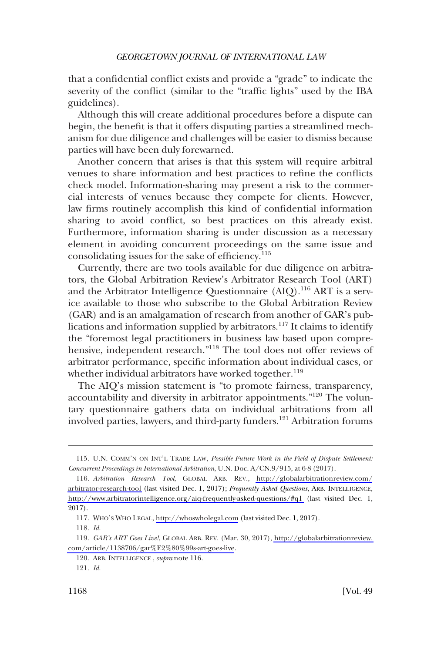that a confidential conflict exists and provide a "grade" to indicate the severity of the conflict (similar to the "traffic lights" used by the IBA guidelines).

Although this will create additional procedures before a dispute can begin, the benefit is that it offers disputing parties a streamlined mechanism for due diligence and challenges will be easier to dismiss because parties will have been duly forewarned.

Another concern that arises is that this system will require arbitral venues to share information and best practices to refine the conflicts check model. Information-sharing may present a risk to the commercial interests of venues because they compete for clients. However, law firms routinely accomplish this kind of confidential information sharing to avoid conflict, so best practices on this already exist. Furthermore, information sharing is under discussion as a necessary element in avoiding concurrent proceedings on the same issue and consolidating issues for the sake of efficiency.<sup>115</sup>

Currently, there are two tools available for due diligence on arbitrators, the Global Arbitration Review's Arbitrator Research Tool (ART) and the Arbitrator Intelligence Questionnaire  $(AIQ).^{116}$  ART is a service available to those who subscribe to the Global Arbitration Review (GAR) and is an amalgamation of research from another of GAR's publications and information supplied by arbitrators.<sup>117</sup> It claims to identify the "foremost legal practitioners in business law based upon comprehensive, independent research."118 The tool does not offer reviews of arbitrator performance, specific information about individual cases, or whether individual arbitrators have worked together.<sup>119</sup>

The AIQ's mission statement is "to promote fairness, transparency, accountability and diversity in arbitrator appointments."120 The voluntary questionnaire gathers data on individual arbitrations from all involved parties, lawyers, and third-party funders.<sup>121</sup> Arbitration forums

<sup>115.</sup> U.N. COMM'N ON INT'L TRADE LAW, *Possible Future Work in the Field of Dispute Settlement: Concurrent Proceedings in International Arbitration*, U.N. Doc. A/CN.9/915, at 6-8 (2017).

*Arbitration Research Tool*, GLOBAL ARB. REV., [http://globalarbitrationreview.com/](http://globalarbitrationreview.com/arbitrator-research-tool)  116. [arbitrator-research-tool](http://globalarbitrationreview.com/arbitrator-research-tool) (last visited Dec. 1, 2017); *Frequently Asked Questions*, ARB. INTELLIGENCE, <http://www.arbitratorintelligence.org/aiq-frequently-asked-questions/#q1>(last visited Dec. 1, 2017).

WHO'S WHO LEGAL,<http://whoswholegal.com> (last visited Dec. 1, 2017). 117.

<sup>118.</sup> *Id*.

*GAR's ART Goes Live!*, GLOBAL ARB. REV. (Mar. 30, 2017), [http://globalarbitrationreview.](http://globalarbitrationreview.com/article/1138706/gar%E2%80%99s-art-goes-live)  119. [com/article/1138706/gar%E2%80%99s-art-goes-live](http://globalarbitrationreview.com/article/1138706/gar%E2%80%99s-art-goes-live).

<sup>120.</sup> ARB. INTELLIGENCE , *supra* note 116.

<sup>121.</sup> *Id*.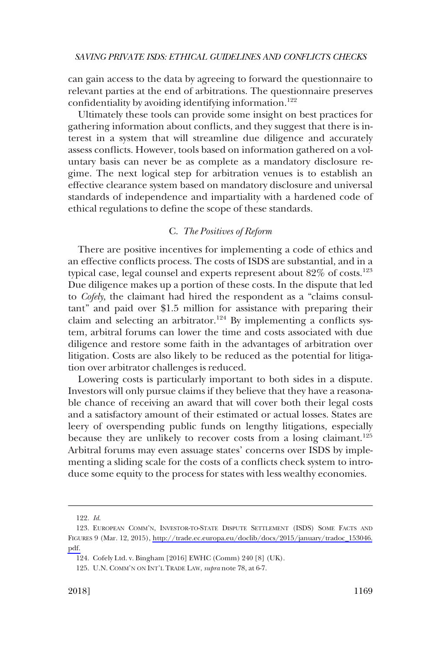<span id="page-26-0"></span>can gain access to the data by agreeing to forward the questionnaire to relevant parties at the end of arbitrations. The questionnaire preserves confidentiality by avoiding identifying information.<sup>122</sup>

Ultimately these tools can provide some insight on best practices for gathering information about conflicts, and they suggest that there is interest in a system that will streamline due diligence and accurately assess conflicts. However, tools based on information gathered on a voluntary basis can never be as complete as a mandatory disclosure regime. The next logical step for arbitration venues is to establish an effective clearance system based on mandatory disclosure and universal standards of independence and impartiality with a hardened code of ethical regulations to define the scope of these standards.

## C. *The Positives of Reform*

There are positive incentives for implementing a code of ethics and an effective conflicts process. The costs of ISDS are substantial, and in a typical case, legal counsel and experts represent about  $82\%$  of costs.<sup>123</sup> Due diligence makes up a portion of these costs. In the dispute that led to *Cofely*, the claimant had hired the respondent as a "claims consultant" and paid over \$1.5 million for assistance with preparing their claim and selecting an arbitrator.<sup>124</sup> By implementing a conflicts system, arbitral forums can lower the time and costs associated with due diligence and restore some faith in the advantages of arbitration over litigation. Costs are also likely to be reduced as the potential for litigation over arbitrator challenges is reduced.

Lowering costs is particularly important to both sides in a dispute. Investors will only pursue claims if they believe that they have a reasonable chance of receiving an award that will cover both their legal costs and a satisfactory amount of their estimated or actual losses. States are leery of overspending public funds on lengthy litigations, especially because they are unlikely to recover costs from a losing claimant.<sup>125</sup> Arbitral forums may even assuage states' concerns over ISDS by implementing a sliding scale for the costs of a conflicts check system to introduce some equity to the process for states with less wealthy economies.

<sup>122.</sup> *Id*.

<sup>123.</sup> EUROPEAN COMM'N, INVESTOR-TO-STATE DISPUTE SETTLEMENT (ISDS) SOME FACTS AND FIGURES 9 (Mar. 12, 2015), [http://trade.ec.europa.eu/doclib/docs/2015/january/tradoc\\_153046.](http://trade.ec.europa.eu/doclib/docs/2015/january/tradoc_153046.pdf)  [pdf.](http://trade.ec.europa.eu/doclib/docs/2015/january/tradoc_153046.pdf)

<sup>124.</sup> Cofely Ltd. v. Bingham [2016] EWHC (Comm) 240 [8] (UK).

<sup>125.</sup> U.N. COMM'N ON INT'L TRADE LAW, *supra* note 78, at 6-7.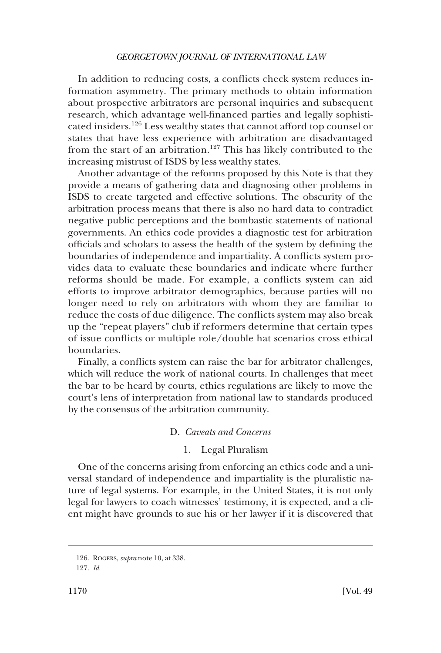<span id="page-27-0"></span>In addition to reducing costs, a conflicts check system reduces information asymmetry. The primary methods to obtain information about prospective arbitrators are personal inquiries and subsequent research, which advantage well-financed parties and legally sophisticated insiders.126 Less wealthy states that cannot afford top counsel or states that have less experience with arbitration are disadvantaged from the start of an arbitration.<sup>127</sup> This has likely contributed to the increasing mistrust of ISDS by less wealthy states.

Another advantage of the reforms proposed by this Note is that they provide a means of gathering data and diagnosing other problems in ISDS to create targeted and effective solutions. The obscurity of the arbitration process means that there is also no hard data to contradict negative public perceptions and the bombastic statements of national governments. An ethics code provides a diagnostic test for arbitration officials and scholars to assess the health of the system by defining the boundaries of independence and impartiality. A conflicts system provides data to evaluate these boundaries and indicate where further reforms should be made. For example, a conflicts system can aid efforts to improve arbitrator demographics, because parties will no longer need to rely on arbitrators with whom they are familiar to reduce the costs of due diligence. The conflicts system may also break up the "repeat players" club if reformers determine that certain types of issue conflicts or multiple role/double hat scenarios cross ethical boundaries.

Finally, a conflicts system can raise the bar for arbitrator challenges, which will reduce the work of national courts. In challenges that meet the bar to be heard by courts, ethics regulations are likely to move the court's lens of interpretation from national law to standards produced by the consensus of the arbitration community.

## D. *Caveats and Concerns*

## 1. Legal Pluralism

One of the concerns arising from enforcing an ethics code and a universal standard of independence and impartiality is the pluralistic nature of legal systems. For example, in the United States, it is not only legal for lawyers to coach witnesses' testimony, it is expected, and a client might have grounds to sue his or her lawyer if it is discovered that

<sup>126.</sup> ROGERS, *supra* note 10, at 338.

<sup>127.</sup> *Id*.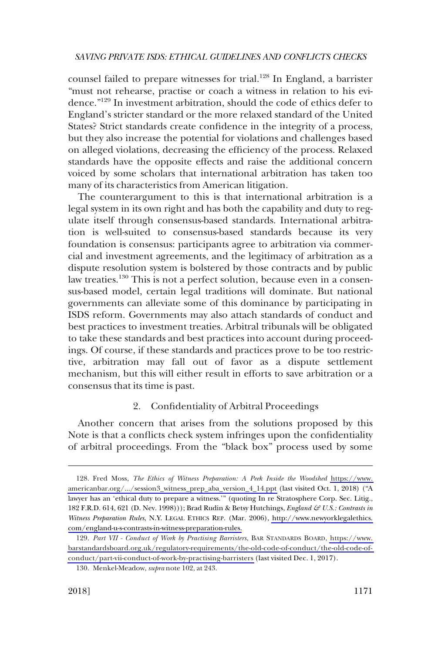<span id="page-28-0"></span>counsel failed to prepare witnesses for trial.<sup>128</sup> In England, a barrister "must not rehearse, practise or coach a witness in relation to his evidence."129 In investment arbitration, should the code of ethics defer to England's stricter standard or the more relaxed standard of the United States? Strict standards create confidence in the integrity of a process, but they also increase the potential for violations and challenges based on alleged violations, decreasing the efficiency of the process. Relaxed standards have the opposite effects and raise the additional concern voiced by some scholars that international arbitration has taken too many of its characteristics from American litigation.

The counterargument to this is that international arbitration is a legal system in its own right and has both the capability and duty to regulate itself through consensus-based standards. International arbitration is well-suited to consensus-based standards because its very foundation is consensus: participants agree to arbitration via commercial and investment agreements, and the legitimacy of arbitration as a dispute resolution system is bolstered by those contracts and by public law treaties.<sup>130</sup> This is not a perfect solution, because even in a consensus-based model, certain legal traditions will dominate. But national governments can alleviate some of this dominance by participating in ISDS reform. Governments may also attach standards of conduct and best practices to investment treaties. Arbitral tribunals will be obligated to take these standards and best practices into account during proceedings. Of course, if these standards and practices prove to be too restrictive, arbitration may fall out of favor as a dispute settlement mechanism, but this will either result in efforts to save arbitration or a consensus that its time is past.

## 2. Confidentiality of Arbitral Proceedings

Another concern that arises from the solutions proposed by this Note is that a conflicts check system infringes upon the confidentiality of arbitral proceedings. From the "black box" process used by some

<sup>128.</sup> Fred Moss, *The Ethics of Witness Preparation: A Peek Inside the Woodshed https://www.* [americanbar.org/.../session3\\_witness\\_prep\\_aba\\_version\\_4\\_14.ppt](https://www.americanbar.org/.../session3_witness_prep_aba_version_4_14.ppt) (last visited Oct. 1, 2018) ("A lawyer has an 'ethical duty to prepare a witness.'" (quoting In re Stratosphere Corp. Sec. Litig., 182 F.R.D. 614, 621 (D. Nev. 1998))); Brad Rudin & Betsy Hutchings, *England & U.S.: Contrasts in Witness Preparation Rules*, N.Y. LEGAL ETHICS REP. (Mar. 2006), [http://www.newyorklegalethics.](http://www.newyorklegalethics.com/england-u-s-contrasts-in-witness-preparation-rules)  [com/england-u-s-contrasts-in-witness-preparation-rules.](http://www.newyorklegalethics.com/england-u-s-contrasts-in-witness-preparation-rules)

*Part VII - Conduct of Work by Practising Barristers*, BAR STANDARDS BOARD, [https://www.](https://www.barstandardsboard.org.uk/regulatory-requirements/the-old-code-of-conduct/the-old-code-of-conduct/part-vii-conduct-of-work-by-practising-barristers)  129. [barstandardsboard.org.uk/regulatory-requirements/the-old-code-of-conduct/the-old-code-of](https://www.barstandardsboard.org.uk/regulatory-requirements/the-old-code-of-conduct/the-old-code-of-conduct/part-vii-conduct-of-work-by-practising-barristers)[conduct/part-vii-conduct-of-work-by-practising-barristers](https://www.barstandardsboard.org.uk/regulatory-requirements/the-old-code-of-conduct/the-old-code-of-conduct/part-vii-conduct-of-work-by-practising-barristers) (last visited Dec. 1, 2017).

<sup>130.</sup> Menkel-Meadow, *supra* note 102, at 243.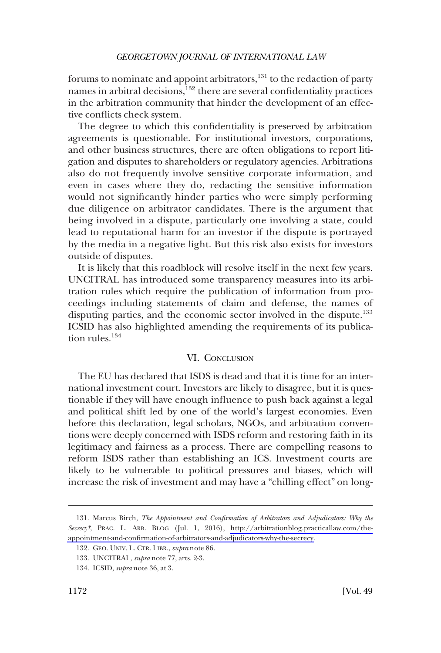<span id="page-29-0"></span>forums to nominate and appoint arbitrators, $^{131}$  to the redaction of party names in arbitral decisions, $132$  there are several confidentiality practices in the arbitration community that hinder the development of an effective conflicts check system.

The degree to which this confidentiality is preserved by arbitration agreements is questionable. For institutional investors, corporations, and other business structures, there are often obligations to report litigation and disputes to shareholders or regulatory agencies. Arbitrations also do not frequently involve sensitive corporate information, and even in cases where they do, redacting the sensitive information would not significantly hinder parties who were simply performing due diligence on arbitrator candidates. There is the argument that being involved in a dispute, particularly one involving a state, could lead to reputational harm for an investor if the dispute is portrayed by the media in a negative light. But this risk also exists for investors outside of disputes.

It is likely that this roadblock will resolve itself in the next few years. UNCITRAL has introduced some transparency measures into its arbitration rules which require the publication of information from proceedings including statements of claim and defense, the names of disputing parties, and the economic sector involved in the dispute.<sup>133</sup> ICSID has also highlighted amending the requirements of its publication rules $134$ 

## VI. CONCLUSION

The EU has declared that ISDS is dead and that it is time for an international investment court. Investors are likely to disagree, but it is questionable if they will have enough influence to push back against a legal and political shift led by one of the world's largest economies. Even before this declaration, legal scholars, NGOs, and arbitration conventions were deeply concerned with ISDS reform and restoring faith in its legitimacy and fairness as a process. There are compelling reasons to reform ISDS rather than establishing an ICS. Investment courts are likely to be vulnerable to political pressures and biases, which will increase the risk of investment and may have a "chilling effect" on long-

<sup>131.</sup> Marcus Birch, *The Appointment and Confirmation of Arbitrators and Adjudicators: Why the Secrecy?*, PRAC. L. ARB. BLOG (Jul. 1, 2016), [http://arbitrationblog.practicallaw.com/the](http://arbitrationblog.practicallaw.com/the-appointment-and-confirmation-of-arbitrators-and-adjudicators-why-the-secrecy)[appointment-and-confirmation-of-arbitrators-and-adjudicators-why-the-secrecy.](http://arbitrationblog.practicallaw.com/the-appointment-and-confirmation-of-arbitrators-and-adjudicators-why-the-secrecy)

<sup>132.</sup> GEO. UNIV. L. CTR. LIBR., *supra* note 86.

<sup>133.</sup> UNCITRAL, *supra* note 77, arts. 2-3.

<sup>134.</sup> ICSID, *supra* note 36, at 3.